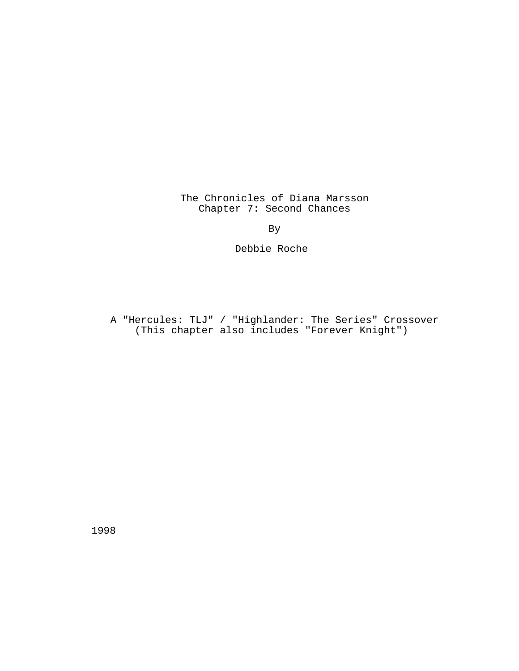The Chronicles of Diana Marsson Chapter 7: Second Chances

By

Debbie Roche

A "Hercules: TLJ" / "Highlander: The Series" Crossover (This chapter also includes "Forever Knight")

1998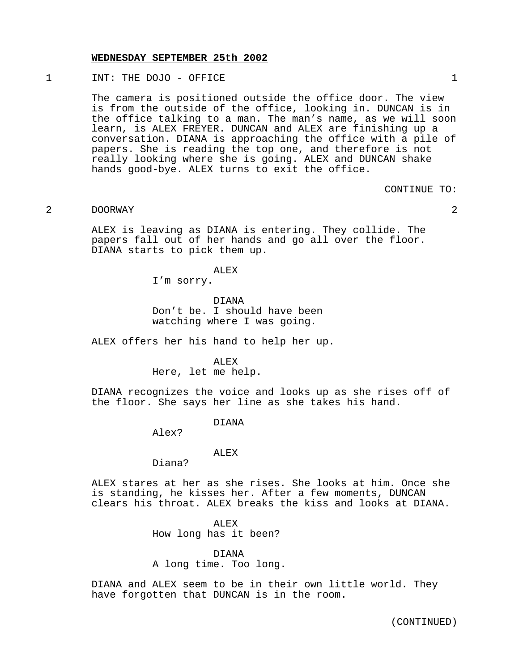#### **WEDNESDAY SEPTEMBER 25th 2002**

1 INT: THE DOJO - OFFICE 1

The camera is positioned outside the office door. The view is from the outside of the office, looking in. DUNCAN is in the office talking to a man. The man's name, as we will soon learn, is ALEX FREYER. DUNCAN and ALEX are finishing up a conversation. DIANA is approaching the office with a pile of papers. She is reading the top one, and therefore is not really looking where she is going. ALEX and DUNCAN shake hands good-bye. ALEX turns to exit the office.

#### CONTINUE TO:

# 2 DOORWAY 2

ALEX is leaving as DIANA is entering. They collide. The papers fall out of her hands and go all over the floor. DIANA starts to pick them up.

ALEX

I'm sorry.

DIANA Don't be. I should have been watching where I was going.

ALEX offers her his hand to help her up.

## ALEX Here, let me help.

DIANA recognizes the voice and looks up as she rises off of the floor. She says her line as she takes his hand.

### DIANA

Alex?

### ALEX

Diana?

ALEX stares at her as she rises. She looks at him. Once she is standing, he kisses her. After a few moments, DUNCAN clears his throat. ALEX breaks the kiss and looks at DIANA.

### ALEX

How long has it been?

### DIANA

A long time. Too long.

DIANA and ALEX seem to be in their own little world. They have forgotten that DUNCAN is in the room.

(CONTINUED)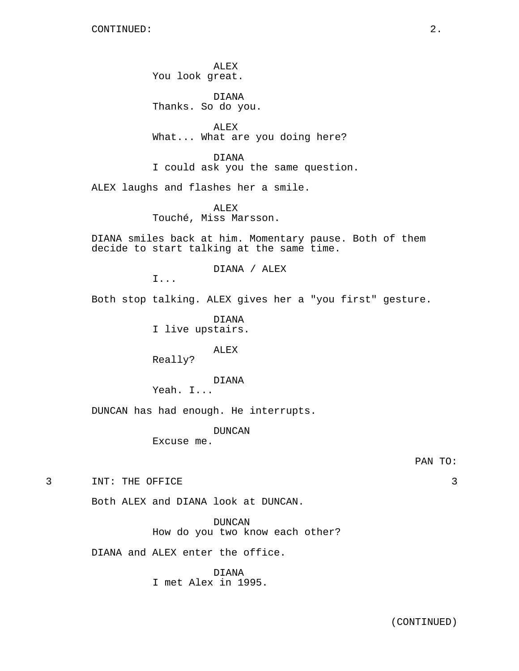ALEX You look great.

DIANA Thanks. So do you.

ALEX What... What are you doing here?

DIANA I could ask you the same question.

ALEX laughs and flashes her a smile.

ALEX Touché, Miss Marsson.

DIANA smiles back at him. Momentary pause. Both of them decide to start talking at the same time.

DIANA / ALEX

I...

Both stop talking. ALEX gives her a "you first" gesture.

DIANA I live upstairs.

ALEX

Really?

# DIANA

Yeah. I...

DUNCAN has had enough. He interrupts.

DUNCAN

Excuse me.

3 INT: THE OFFICE 3

Both ALEX and DIANA look at DUNCAN.

DUNCAN How do you two know each other?

DIANA and ALEX enter the office.

DIANA I met Alex in 1995.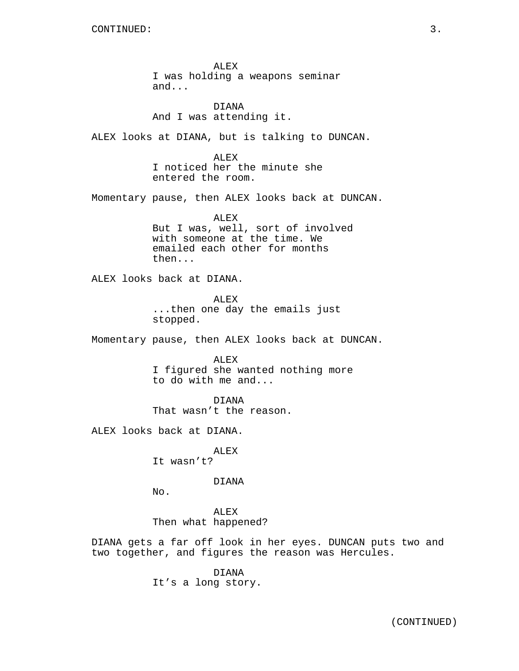ALEX I was holding a weapons seminar and...

DIANA And I was attending it.

ALEX looks at DIANA, but is talking to DUNCAN.

ALEX I noticed her the minute she entered the room.

Momentary pause, then ALEX looks back at DUNCAN.

ALEX But I was, well, sort of involved with someone at the time. We emailed each other for months then...

ALEX looks back at DIANA.

ALEX ...then one day the emails just stopped.

Momentary pause, then ALEX looks back at DUNCAN.

ALEX I figured she wanted nothing more to do with me and...

DIANA That wasn't the reason.

ALEX looks back at DIANA.

ALEX It wasn't?

DIANA

No.

ALEX Then what happened?

DIANA gets a far off look in her eyes. DUNCAN puts two and two together, and figures the reason was Hercules.

> DIANA It's a long story.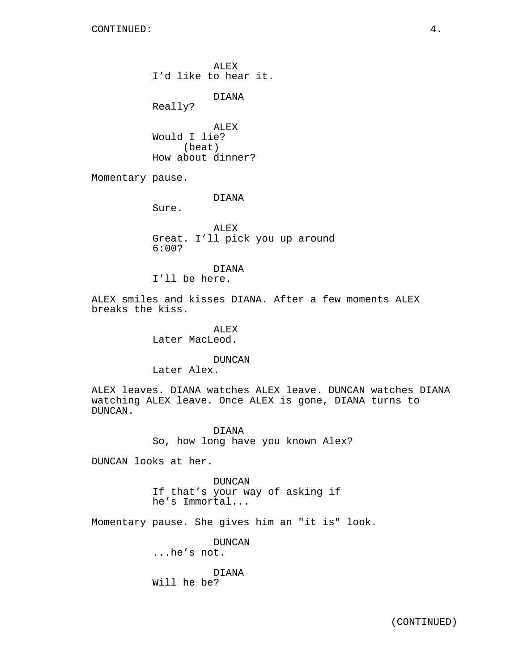ALEX I'd like to hear it.

DIANA

Really?

ALEX Would I lie? (beat) How about dinner?

Momentary pause.

DIANA

Sure.

ALEX Great. I'll pick you up around 6:00?

DIANA

I'll be here.

ALEX smiles and kisses DIANA. After a few moments ALEX breaks the kiss.

> ALEX Later MacLeod.

> > DUNCAN

Later Alex.

ALEX leaves. DIANA watches ALEX leave. DUNCAN watches DIANA watching ALEX leave. Once ALEX is gone, DIANA turns to DUNCAN.

> DIANA So, how long have you known Alex?

DUNCAN looks at her.

DUNCAN If that's your way of asking if he's Immortal...

Momentary pause. She gives him an "it is" look.

DUNCAN

...he's not.

DIANA Will he be?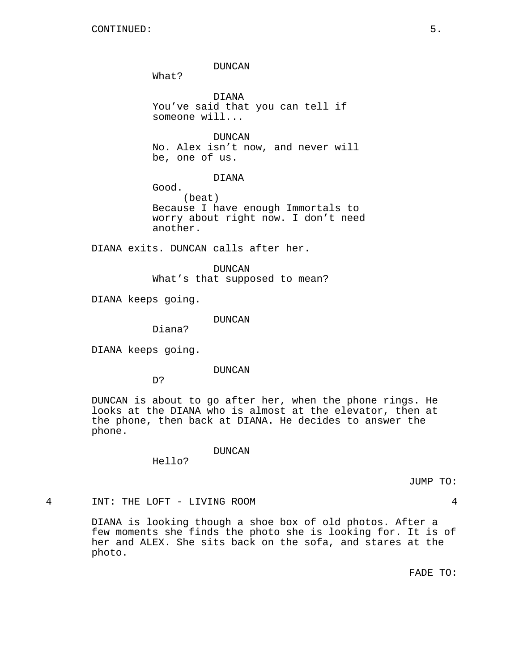DUNCAN

What?

DIANA You've said that you can tell if someone will...

DUNCAN No. Alex isn't now, and never will be, one of us.

DIANA

Good. (beat) Because I have enough Immortals to worry about right now. I don't need another.

DIANA exits. DUNCAN calls after her.

DUNCAN What's that supposed to mean?

DIANA keeps going.

DUNCAN

Diana?

DIANA keeps going.

DUNCAN

D?

DUNCAN is about to go after her, when the phone rings. He looks at the DIANA who is almost at the elevator, then at the phone, then back at DIANA. He decides to answer the phone.

DUNCAN

Hello?

JUMP TO:

4 INT: THE LOFT - LIVING ROOM 4

DIANA is looking though a shoe box of old photos. After a few moments she finds the photo she is looking for. It is of her and ALEX. She sits back on the sofa, and stares at the photo.

FADE TO: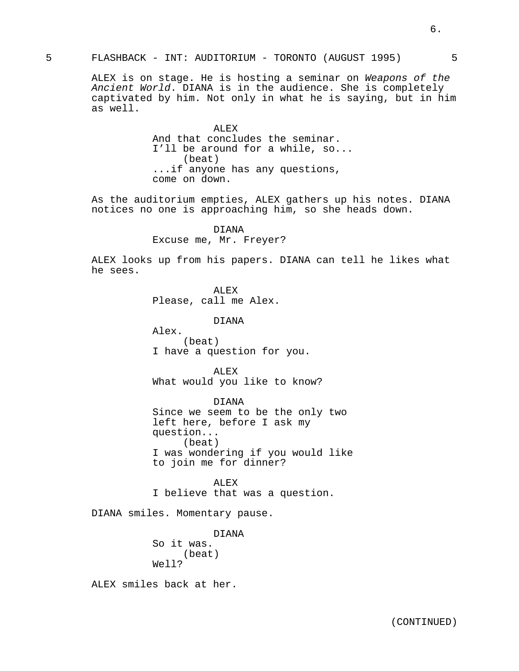# 5 FLASHBACK - INT: AUDITORIUM - TORONTO (AUGUST 1995) 5

ALEX is on stage. He is hosting a seminar on Weapons of the Ancient World. DIANA is in the audience. She is completely captivated by him. Not only in what he is saying, but in him as well.

> ALEX And that concludes the seminar. I'll be around for a while, so... (beat) ...if anyone has any questions, come on down.

As the auditorium empties, ALEX gathers up his notes. DIANA notices no one is approaching him, so she heads down.

### DIANA

Excuse me, Mr. Freyer?

ALEX looks up from his papers. DIANA can tell he likes what he sees.

ALEX

Please, call me Alex.

DIANA

Alex. (beat) I have a question for you.

ALEX What would you like to know?

DIANA Since we seem to be the only two left here, before I ask my question... (beat) I was wondering if you would like to join me for dinner?

ALEX I believe that was a question.

DIANA smiles. Momentary pause.

DIANA So it was. (beat) Well?

ALEX smiles back at her.

6.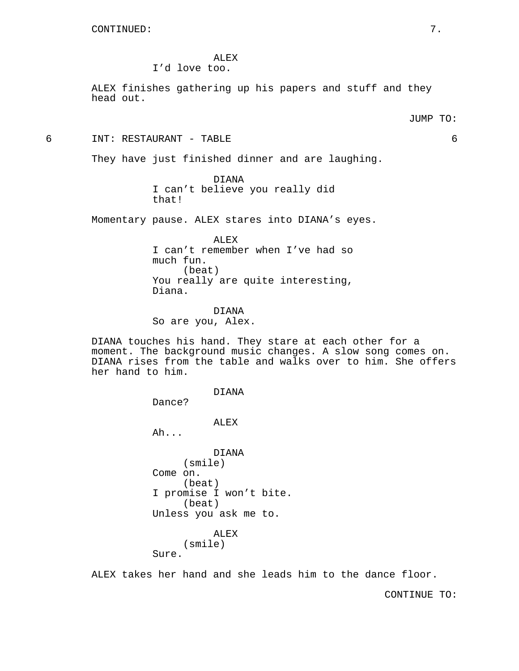ALEX

I'd love too.

ALEX finishes gathering up his papers and stuff and they head out.

6 INT: RESTAURANT - TABLE 6

They have just finished dinner and are laughing.

DIANA I can't believe you really did that!

Momentary pause. ALEX stares into DIANA's eyes.

ALEX I can't remember when I've had so much fun. (beat) You really are quite interesting, Diana.

DIANA So are you, Alex.

DIANA touches his hand. They stare at each other for a moment. The background music changes. A slow song comes on. DIANA rises from the table and walks over to him. She offers her hand to him.

> DIANA Dance? ALEX Ah... DIANA (smile) Come on. (beat) I promise I won't bite. (beat) Unless you ask me to. ALEX (smile) Sure.

ALEX takes her hand and she leads him to the dance floor.

CONTINUE TO: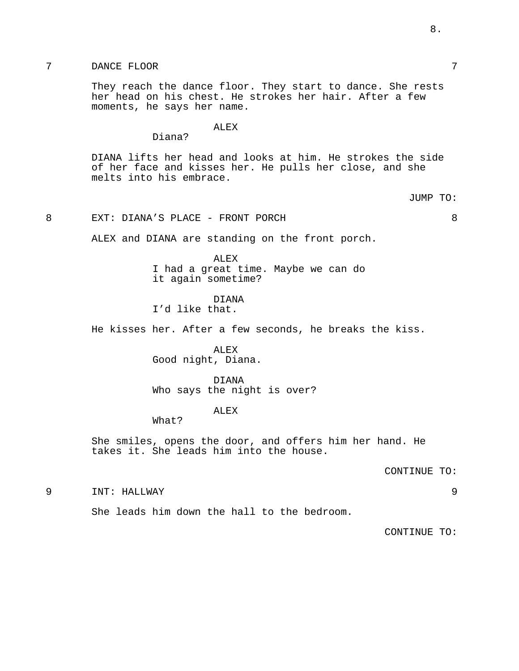# 7 DANCE FLOOR 7

They reach the dance floor. They start to dance. She rests her head on his chest. He strokes her hair. After a few moments, he says her name.

ALEX

Diana?

DIANA lifts her head and looks at him. He strokes the side of her face and kisses her. He pulls her close, and she melts into his embrace.

JUMP TO:

# 8 EXT: DIANA'S PLACE - FRONT PORCH 8

ALEX and DIANA are standing on the front porch.

ALEX I had a great time. Maybe we can do it again sometime?

DIANA

I'd like that.

He kisses her. After a few seconds, he breaks the kiss.

ALEX Good night, Diana.

DIANA Who says the night is over?

ALEX

What?

She smiles, opens the door, and offers him her hand. He takes it. She leads him into the house.

CONTINUE TO:

9 INT: HALLWAY 9

She leads him down the hall to the bedroom.

CONTINUE TO: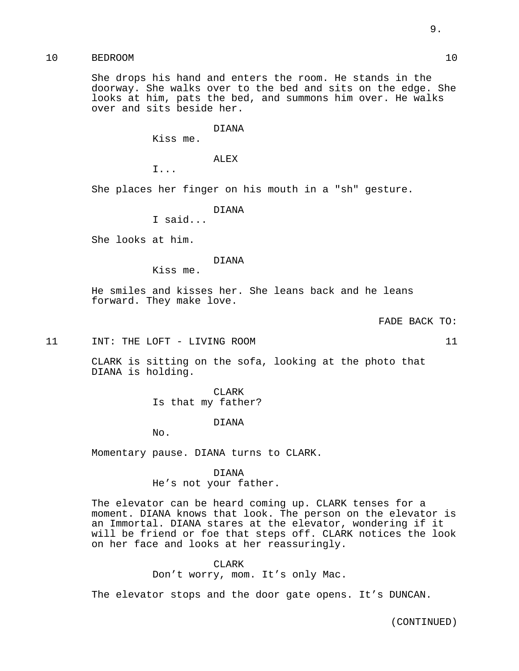# 10 BEDROOM 10

She drops his hand and enters the room. He stands in the doorway. She walks over to the bed and sits on the edge. She looks at him, pats the bed, and summons him over. He walks over and sits beside her.

#### DIANA

Kiss me.

ALEX

I...

She places her finger on his mouth in a "sh" gesture.

DIANA

I said...

She looks at him.

### DIANA

Kiss me.

He smiles and kisses her. She leans back and he leans forward. They make love.

FADE BACK TO:

11 INT: THE LOFT - LIVING ROOM 11

CLARK is sitting on the sofa, looking at the photo that DIANA is holding.

> CLARK Is that my father?

> > DIANA

No.

Momentary pause. DIANA turns to CLARK.

DIANA

He's not your father.

The elevator can be heard coming up. CLARK tenses for a moment. DIANA knows that look. The person on the elevator is an Immortal. DIANA stares at the elevator, wondering if it will be friend or foe that steps off. CLARK notices the look on her face and looks at her reassuringly.

CLARK

Don't worry, mom. It's only Mac.

The elevator stops and the door gate opens. It's DUNCAN.

(CONTINUED)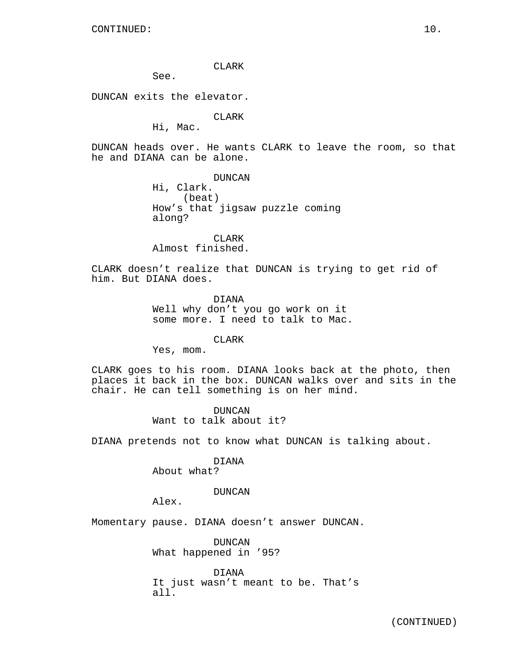### CLARK

See.

DUNCAN exits the elevator.

CLARK

Hi, Mac.

DUNCAN heads over. He wants CLARK to leave the room, so that he and DIANA can be alone.

> DUNCAN Hi, Clark. (beat) How's that jigsaw puzzle coming along?

CLARK Almost finished.

CLARK doesn't realize that DUNCAN is trying to get rid of him. But DIANA does.

> DIANA Well why don't you go work on it some more. I need to talk to Mac.

> > CLARK

Yes, mom.

CLARK goes to his room. DIANA looks back at the photo, then places it back in the box. DUNCAN walks over and sits in the chair. He can tell something is on her mind.

> DUNCAN Want to talk about it?

DIANA pretends not to know what DUNCAN is talking about.

DIANA

About what?

## DUNCAN

Alex.

Momentary pause. DIANA doesn't answer DUNCAN.

DUNCAN What happened in '95?

DIANA It just wasn't meant to be. That's all.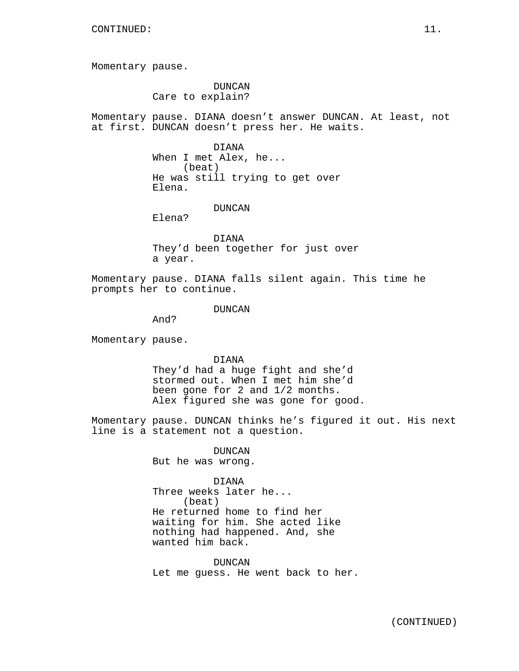Momentary pause.

DUNCAN Care to explain?

Momentary pause. DIANA doesn't answer DUNCAN. At least, not at first. DUNCAN doesn't press her. He waits.

> DIANA When I met Alex, he... (beat) He was still trying to get over Elena.

> > DUNCAN

Elena?

DIANA They'd been together for just over a year.

Momentary pause. DIANA falls silent again. This time he prompts her to continue.

DUNCAN

And?

Momentary pause.

DIANA They'd had a huge fight and she'd

stormed out. When I met him she'd been gone for 2 and 1/2 months. Alex figured she was gone for good.

Momentary pause. DUNCAN thinks he's figured it out. His next line is a statement not a question.

> DUNCAN But he was wrong.

> > DIANA

Three weeks later he... (beat) He returned home to find her waiting for him. She acted like nothing had happened. And, she wanted him back.

DUNCAN Let me guess. He went back to her.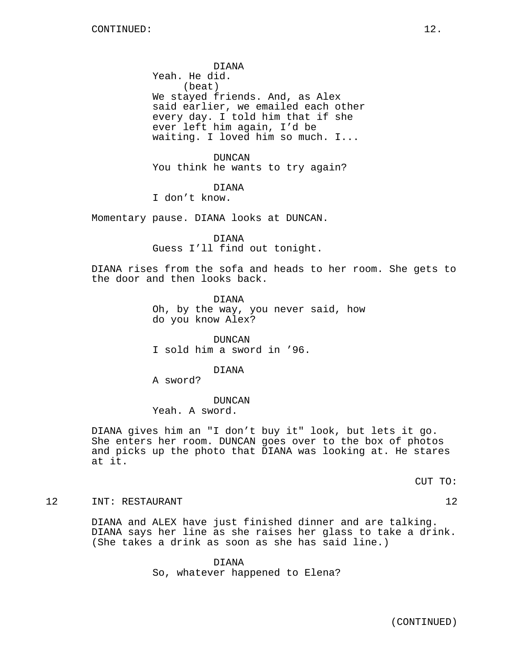DIANA Yeah. He did. (beat) We stayed friends. And, as Alex said earlier, we emailed each other every day. I told him that if she ever left him again, I'd be waiting. I loved him so much. I...

DUNCAN You think he wants to try again?

DIANA

I don't know.

Momentary pause. DIANA looks at DUNCAN.

DIANA Guess I'll find out tonight.

DIANA rises from the sofa and heads to her room. She gets to the door and then looks back.

> DIANA Oh, by the way, you never said, how do you know Alex?

DUNCAN I sold him a sword in '96.

DIANA

A sword?

DUNCAN

Yeah. A sword.

DIANA gives him an "I don't buy it" look, but lets it go. She enters her room. DUNCAN goes over to the box of photos and picks up the photo that DIANA was looking at. He stares at it.

CUT TO:

12 INT: RESTAURANT 12 12

DIANA and ALEX have just finished dinner and are talking. DIANA says her line as she raises her glass to take a drink. (She takes a drink as soon as she has said line.)

> DIANA So, whatever happened to Elena?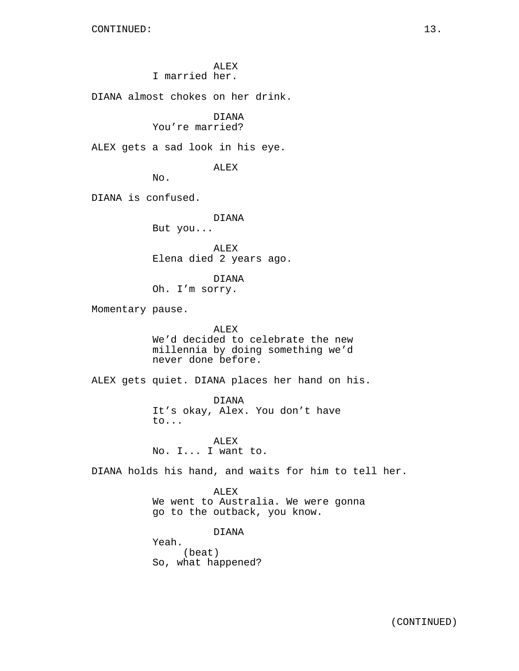ALEX I married her.

DIANA almost chokes on her drink.

# DIANA

You're married?

ALEX gets a sad look in his eye.

ALEX

No.

DIANA is confused.

DIANA

But you...

ALEX Elena died 2 years ago.

DIANA Oh. I'm sorry.

Momentary pause.

ALEX We'd decided to celebrate the new millennia by doing something we'd never done before.

ALEX gets quiet. DIANA places her hand on his.

DIANA It's okay, Alex. You don't have to...

ALEX No. I... I want to.

DIANA holds his hand, and waits for him to tell her.

ALEX We went to Australia. We were gonna go to the outback, you know.

DIANA

Yeah. (beat) So, what happened?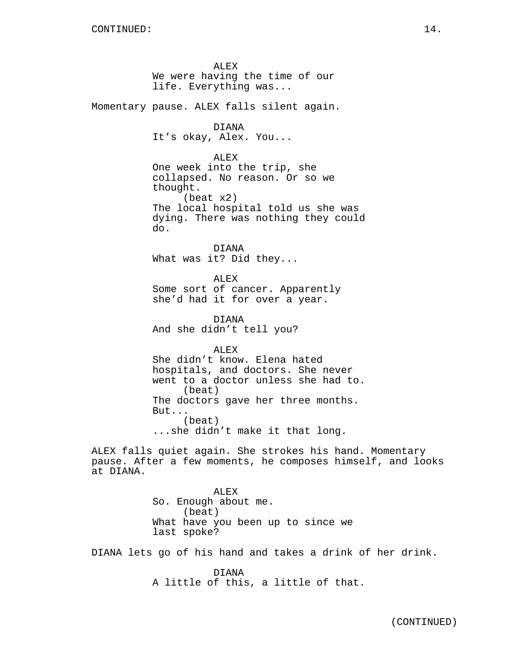ALEX We were having the time of our life. Everything was... Momentary pause. ALEX falls silent again. DIANA It's okay, Alex. You... ALEX One week into the trip, she collapsed. No reason. Or so we thought. (beat x2) The local hospital told us she was dying. There was nothing they could do. DIANA What was it? Did they... ALEX Some sort of cancer. Apparently she'd had it for over a year. DIANA And she didn't tell you? ALEX She didn't know. Elena hated hospitals, and doctors. She never went to a doctor unless she had to. (beat) The doctors gave her three months. But... (beat) ...she didn't make it that long. ALEX falls quiet again. She strokes his hand. Momentary pause. After a few moments, he composes himself, and looks at DIANA. ALEX So. Enough about me. (beat) What have you been up to since we last spoke?

DIANA lets go of his hand and takes a drink of her drink.

DIANA A little of this, a little of that.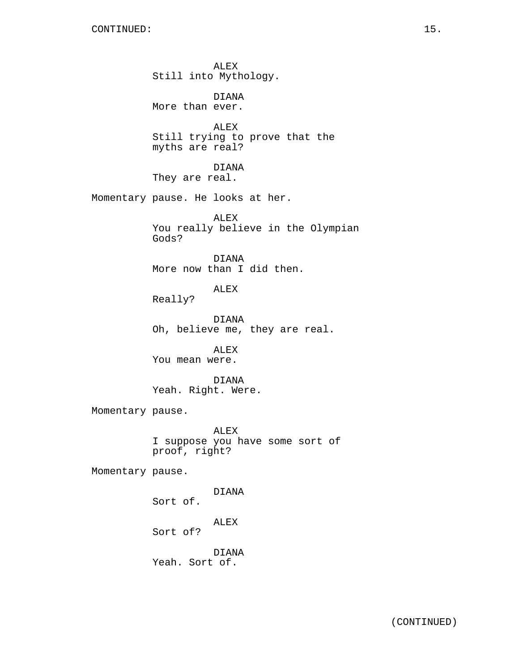ALEX Still into Mythology. DIANA More than ever. ALEX Still trying to prove that the myths are real? DIANA They are real. Momentary pause. He looks at her. ALEX You really believe in the Olympian Gods? DIANA More now than I did then. ALEX Really? DIANA Oh, believe me, they are real. ALEX You mean were. DIANA Yeah. Right. Were. Momentary pause. ALEX I suppose you have some sort of proof, right? Momentary pause. DIANA Sort of. ALEX Sort of? DIANA Yeah. Sort of.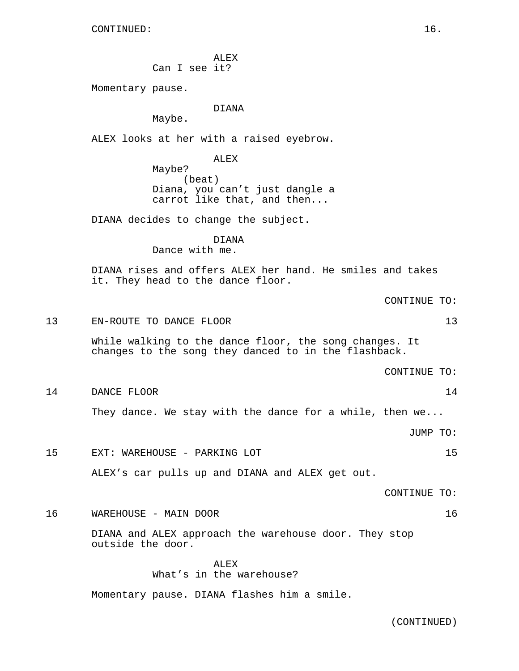ALEX Can I see it?

Momentary pause.

DIANA

Maybe.

ALEX looks at her with a raised eyebrow.

ALEX Maybe? (beat) Diana, you can't just dangle a carrot like that, and then...

DIANA decides to change the subject.

DIANA Dance with me.

DIANA rises and offers ALEX her hand. He smiles and takes it. They head to the dance floor.

CONTINUE TO:

```
13 EN-ROUTE TO DANCE FLOOR 13
```
While walking to the dance floor, the song changes. It changes to the song they danced to in the flashback.

CONTINUE TO:

14 DANCE FLOOR 24

They dance. We stay with the dance for a while, then we...

JUMP TO:

15 EXT: WAREHOUSE - PARKING LOT 15

ALEX's car pulls up and DIANA and ALEX get out.

CONTINUE TO:

16 WAREHOUSE - MAIN DOOR 16

DIANA and ALEX approach the warehouse door. They stop outside the door.

> ALEX What's in the warehouse?

Momentary pause. DIANA flashes him a smile.

(CONTINUED)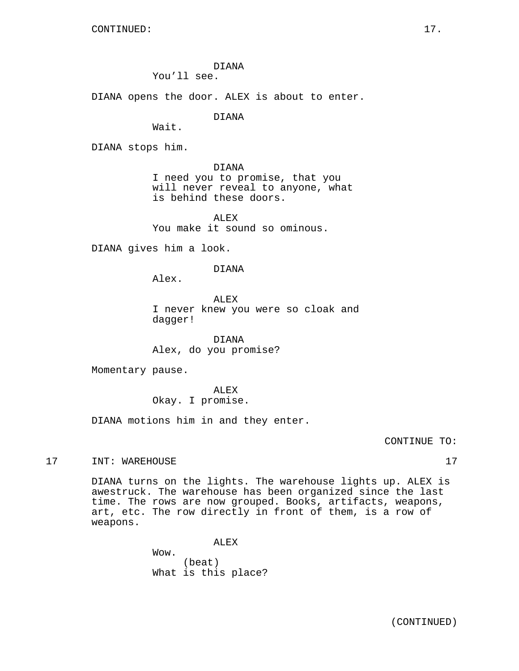DIANA You'll see.

DIANA opens the door. ALEX is about to enter.

DIANA

Wait.

DIANA stops him.

DIANA I need you to promise, that you will never reveal to anyone, what is behind these doors.

ALEX You make it sound so ominous.

DIANA gives him a look.

DIANA

Alex.

ALEX I never knew you were so cloak and dagger!

DIANA Alex, do you promise?

Momentary pause.

ALEX Okay. I promise.

DIANA motions him in and they enter.

CONTINUE TO:

17 INT: WAREHOUSE 17

DIANA turns on the lights. The warehouse lights up. ALEX is awestruck. The warehouse has been organized since the last time. The rows are now grouped. Books, artifacts, weapons, art, etc. The row directly in front of them, is a row of weapons.

ALEX

Wow. (beat) What is this place?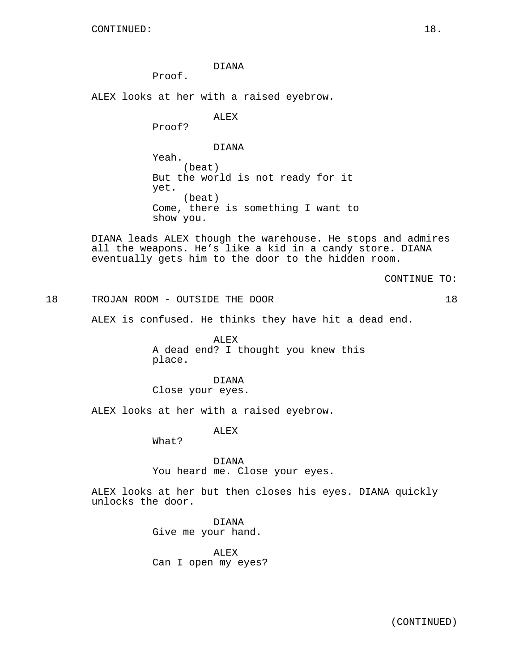DIANA

Proof.

ALEX looks at her with a raised eyebrow.

ALEX

Proof?

DIANA

Yeah. (beat) But the world is not ready for it yet. (beat) Come, there is something I want to show you.

DIANA leads ALEX though the warehouse. He stops and admires all the weapons. He's like a kid in a candy store. DIANA eventually gets him to the door to the hidden room.

CONTINUE TO:

18 TROJAN ROOM - OUTSIDE THE DOOR 18

ALEX is confused. He thinks they have hit a dead end.

ALEX A dead end? I thought you knew this place.

DIANA Close your eyes.

ALEX looks at her with a raised eyebrow.

ALEX

What?

DIANA You heard me. Close your eyes.

ALEX looks at her but then closes his eyes. DIANA quickly unlocks the door.

> DIANA Give me your hand.

ALEX Can I open my eyes?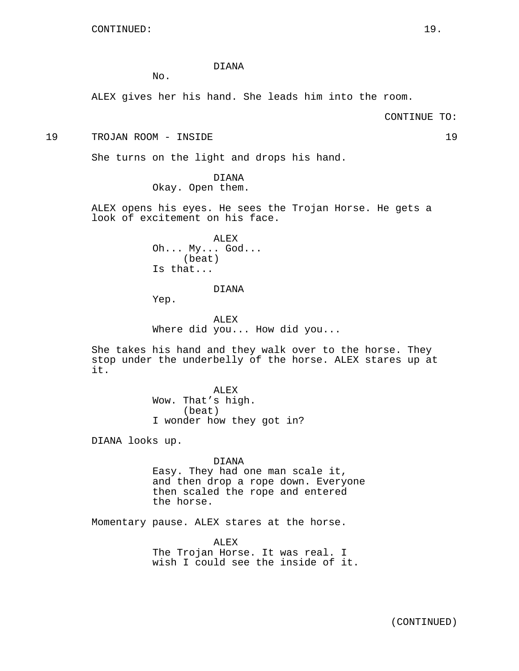## DIANA

No.

ALEX gives her his hand. She leads him into the room.

CONTINUE TO:

19 TROJAN ROOM - INSIDE 19

She turns on the light and drops his hand.

DIANA Okay. Open them.

ALEX opens his eyes. He sees the Trojan Horse. He gets a look of excitement on his face.

> ALEX Oh... My... God... (beat) Is that...

# DIANA

Yep.

ALEX Where did you... How did you...

She takes his hand and they walk over to the horse. They stop under the underbelly of the horse. ALEX stares up at it.

> ALEX Wow. That's high. (beat) I wonder how they got in?

DIANA looks up.

DIANA

Easy. They had one man scale it, and then drop a rope down. Everyone then scaled the rope and entered the horse.

Momentary pause. ALEX stares at the horse.

ALEX The Trojan Horse. It was real. I wish I could see the inside of it.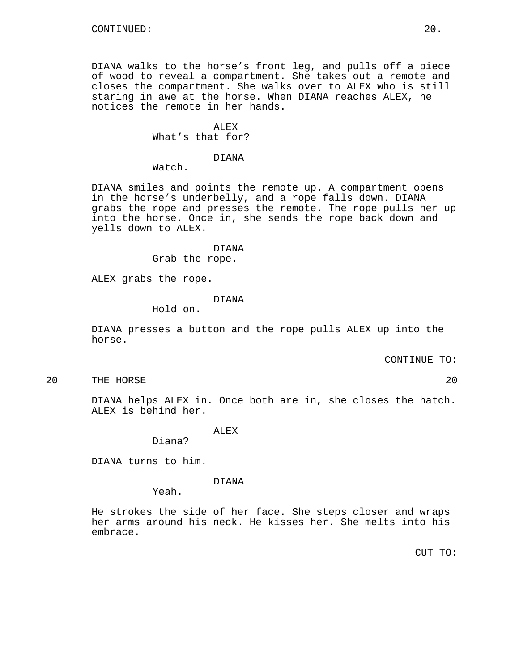DIANA walks to the horse's front leg, and pulls off a piece of wood to reveal a compartment. She takes out a remote and closes the compartment. She walks over to ALEX who is still staring in awe at the horse. When DIANA reaches ALEX, he notices the remote in her hands.

# ALEX What's that for?

### DIANA

Watch.

DIANA smiles and points the remote up. A compartment opens in the horse's underbelly, and a rope falls down. DIANA grabs the rope and presses the remote. The rope pulls her up into the horse. Once in, she sends the rope back down and yells down to ALEX.

#### DIANA

Grab the rope.

ALEX grabs the rope.

### DIANA

Hold on.

DIANA presses a button and the rope pulls ALEX up into the horse.

CONTINUE TO:

20 THE HORSE 20

DIANA helps ALEX in. Once both are in, she closes the hatch. ALEX is behind her.

## ALEX

Diana?

DIANA turns to him.

## DIANA

Yeah.

He strokes the side of her face. She steps closer and wraps her arms around his neck. He kisses her. She melts into his embrace.

CUT TO: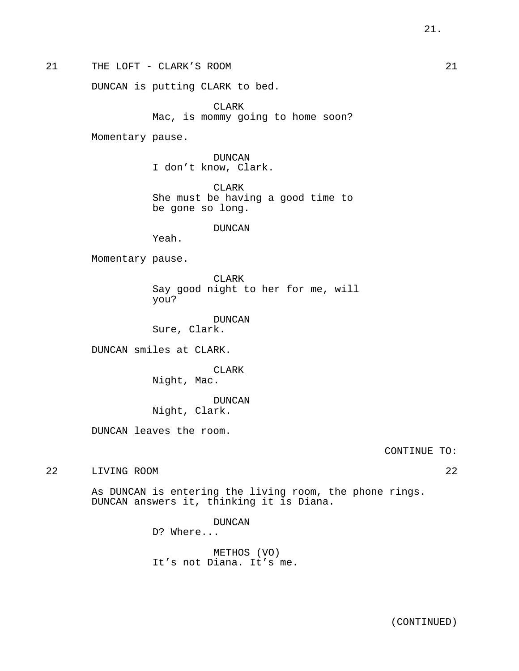21 THE LOFT - CLARK'S ROOM 21 21

DUNCAN is putting CLARK to bed.

CLARK Mac, is mommy going to home soon?

Momentary pause.

DUNCAN I don't know, Clark.

CLARK She must be having a good time to be gone so long.

# DUNCAN

Yeah.

Momentary pause.

CLARK Say good night to her for me, will you?

DUNCAN Sure, Clark.

DUNCAN smiles at CLARK.

CLARK Night, Mac.

DUNCAN Night, Clark.

DUNCAN leaves the room.

CONTINUE TO:

22 LIVING ROOM 22

As DUNCAN is entering the living room, the phone rings. DUNCAN answers it, thinking it is Diana.

DUNCAN

D? Where...

METHOS (VO) It's not Diana. It's me.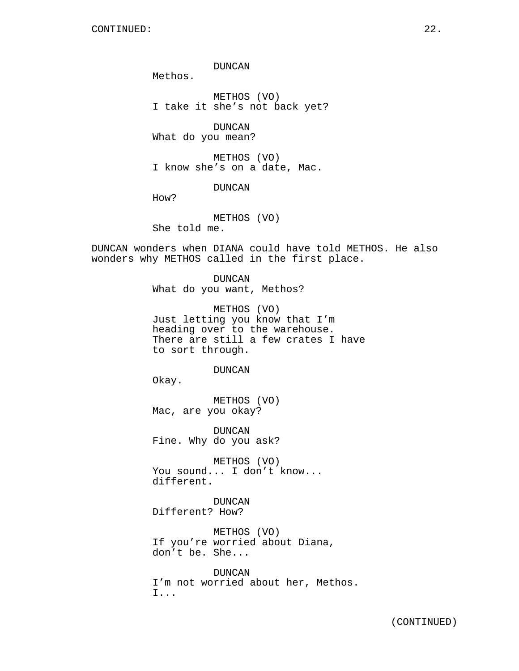DUNCAN

Methos.

METHOS (VO) I take it she's not back yet?

DUNCAN What do you mean?

METHOS (VO) I know she's on a date, Mac.

# DUNCAN

How?

METHOS (VO) She told me.

DUNCAN wonders when DIANA could have told METHOS. He also wonders why METHOS called in the first place.

> DUNCAN What do you want, Methos?

METHOS (VO) Just letting you know that I'm heading over to the warehouse. There are still a few crates I have to sort through.

### DUNCAN

Okay.

METHOS (VO) Mac, are you okay?

DUNCAN Fine. Why do you ask?

METHOS (VO) You sound... I don't know... different.

DUNCAN Different? How?

METHOS (VO) If you're worried about Diana, don't be. She...

DUNCAN I'm not worried about her, Methos. I...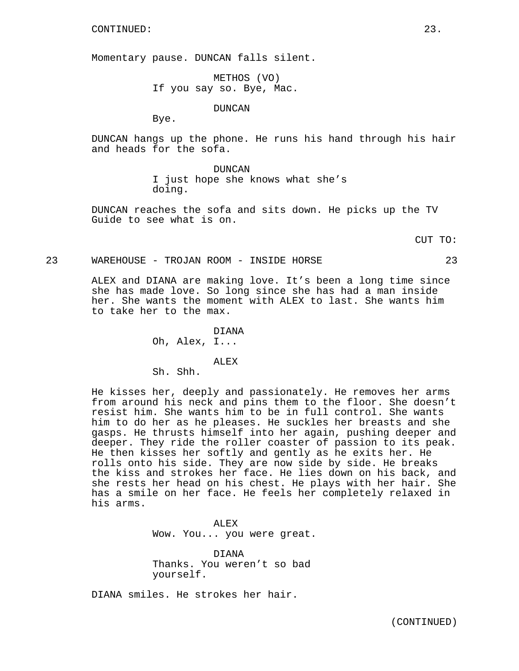Momentary pause. DUNCAN falls silent.

METHOS (VO) If you say so. Bye, Mac.

DUNCAN

Bye.

DUNCAN hangs up the phone. He runs his hand through his hair and heads for the sofa.

> DUNCAN I just hope she knows what she's doing.

DUNCAN reaches the sofa and sits down. He picks up the TV Guide to see what is on.

CUT TO:

### 23 WAREHOUSE - TROJAN ROOM - INSIDE HORSE 23

ALEX and DIANA are making love. It's been a long time since she has made love. So long since she has had a man inside her. She wants the moment with ALEX to last. She wants him to take her to the max.

DIANA

Oh, Alex, I...

ALEX Sh. Shh.

He kisses her, deeply and passionately. He removes her arms from around his neck and pins them to the floor. She doesn't resist him. She wants him to be in full control. She wants him to do her as he pleases. He suckles her breasts and she gasps. He thrusts himself into her again, pushing deeper and deeper. They ride the roller coaster of passion to its peak. He then kisses her softly and gently as he exits her. He rolls onto his side. They are now side by side. He breaks the kiss and strokes her face. He lies down on his back, and she rests her head on his chest. He plays with her hair. She has a smile on her face. He feels her completely relaxed in his arms.

> ALEX Wow. You... you were great.

DIANA Thanks. You weren't so bad yourself.

DIANA smiles. He strokes her hair.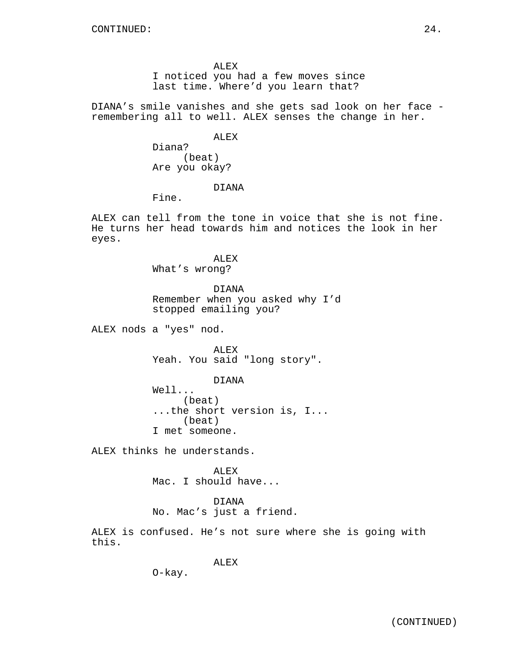ALEX I noticed you had a few moves since last time. Where'd you learn that?

DIANA's smile vanishes and she gets sad look on her face remembering all to well. ALEX senses the change in her.

> ALEX Diana? (beat)

Are you okay?

# DIANA

Fine.

ALEX can tell from the tone in voice that she is not fine. He turns her head towards him and notices the look in her eyes.

> ALEX What's wrong?

DIANA Remember when you asked why I'd stopped emailing you?

ALEX nods a "yes" nod.

ALEX Yeah. You said "long story".

DIANA

Well... (beat) ...the short version is, I... (beat) I met someone.

ALEX thinks he understands.

ALEX Mac. I should have...

## DIANA

No. Mac's just a friend.

ALEX is confused. He's not sure where she is going with this.

ALEX

O-kay.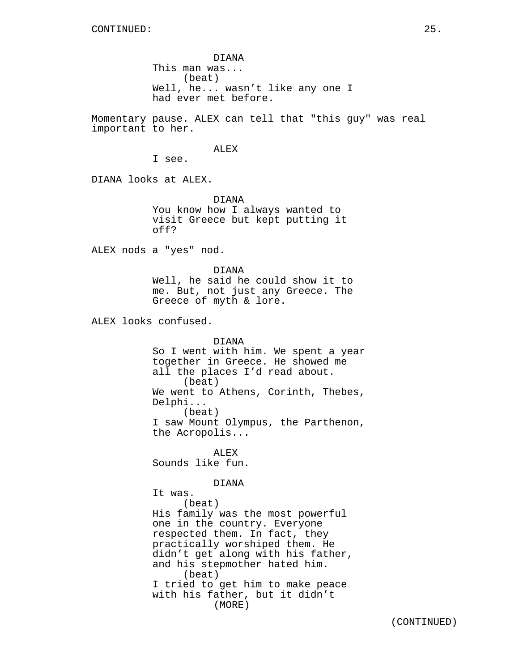DIANA This man was... (beat) Well, he... wasn't like any one I had ever met before.

Momentary pause. ALEX can tell that "this guy" was real important to her.

ALEX

I see.

DIANA looks at ALEX.

DIANA You know how I always wanted to visit Greece but kept putting it off?

ALEX nods a "yes" nod.

DIANA Well, he said he could show it to me. But, not just any Greece. The Greece of myth & lore.

ALEX looks confused.

DIANA

So I went with him. We spent a year together in Greece. He showed me all the places I'd read about. (beat) We went to Athens, Corinth, Thebes, Delphi... (beat) I saw Mount Olympus, the Parthenon, the Acropolis...

ALEX Sounds like fun.

DIANA

It was. (beat) His family was the most powerful one in the country. Everyone respected them. In fact, they practically worshiped them. He didn't get along with his father, and his stepmother hated him. (beat) I tried to get him to make peace with his father, but it didn't (MORE)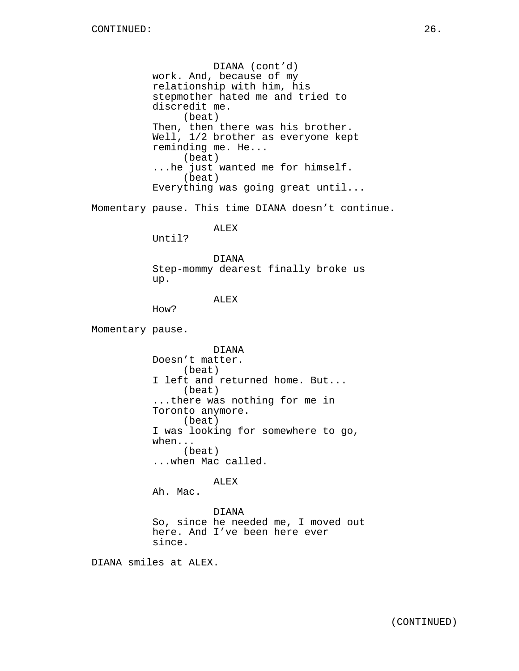DIANA (cont'd) work. And, because of my relationship with him, his stepmother hated me and tried to discredit me. (beat) Then, then there was his brother. Well, 1/2 brother as everyone kept reminding me. He... (beat) ...he just wanted me for himself. (beat) Everything was going great until...

Momentary pause. This time DIANA doesn't continue.

ALEX

Until?

DIANA Step-mommy dearest finally broke us up.

ALEX

How?

Momentary pause.

DIANA Doesn't matter. (beat) I left and returned home. But... (beat) ...there was nothing for me in Toronto anymore. (beat) I was looking for somewhere to go, when... (beat) ...when Mac called.

ALEX

Ah. Mac.

DIANA So, since he needed me, I moved out here. And I've been here ever since.

DIANA smiles at ALEX.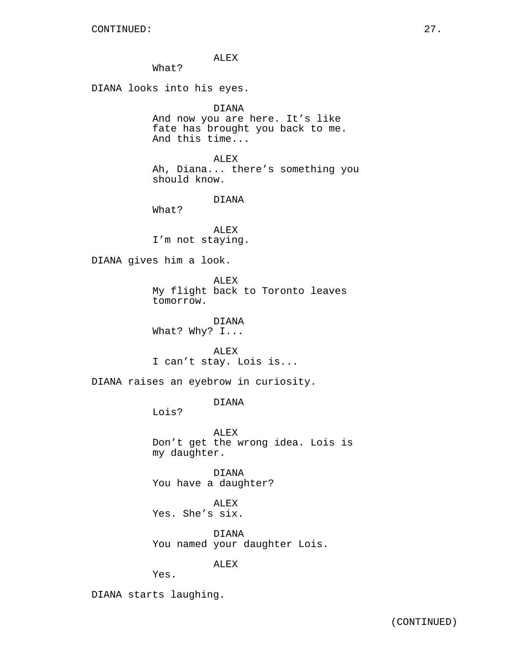ALEX

What?

DIANA looks into his eyes.

DIANA

And now you are here. It's like fate has brought you back to me. And this time...

ALEX Ah, Diana... there's something you should know.

DIANA

What?

ALEX I'm not staying.

DIANA gives him a look.

ALEX My flight back to Toronto leaves tomorrow.

DIANA What? Why? I...

ALEX I can't stay. Lois is...

DIANA raises an eyebrow in curiosity.

DIANA

Lois?

ALEX Don't get the wrong idea. Lois is my daughter.

DIANA You have a daughter?

ALEX Yes. She's six.

DIANA You named your daughter Lois.

ALEX

Yes.

DIANA starts laughing.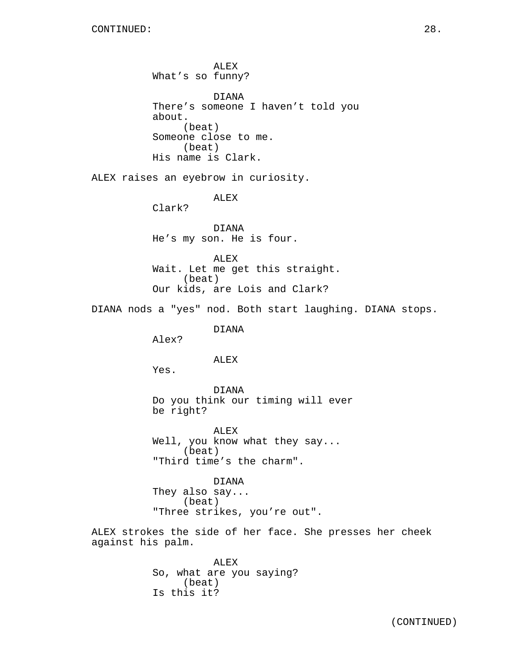ALEX What's so funny? DIANA There's someone I haven't told you about. (beat) Someone close to me. (beat) His name is Clark. ALEX raises an eyebrow in curiosity. ALEX Clark? DIANA He's my son. He is four. ALEX Wait. Let me get this straight. (beat) Our kids, are Lois and Clark? DIANA nods a "yes" nod. Both start laughing. DIANA stops. DIANA Alex? ALEX Yes. DIANA Do you think our timing will ever be right? ALEX Well, you know what they say... (beat) "Third time's the charm". DIANA They also say... (beat) "Three strikes, you're out". ALEX strokes the side of her face. She presses her cheek against his palm. ALEX So, what are you saying? (beat) Is this it?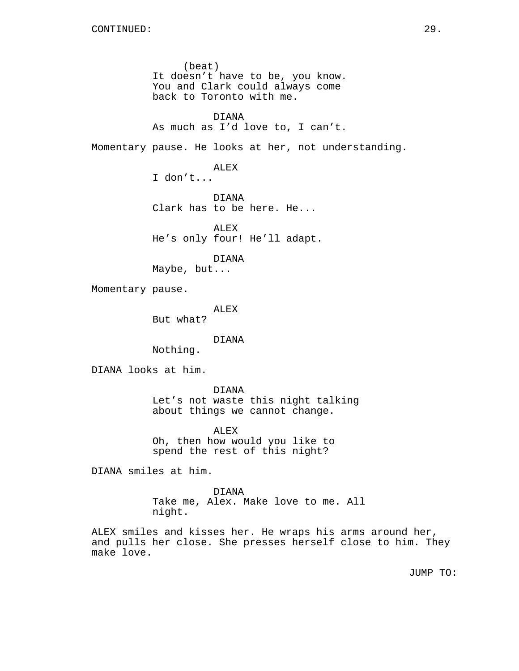(beat) It doesn't have to be, you know. You and Clark could always come back to Toronto with me. DIANA As much as I'd love to, I can't. Momentary pause. He looks at her, not understanding. ALEX I don't... DIANA Clark has to be here. He... ALEX He's only four! He'll adapt. DIANA Maybe, but... Momentary pause. ALEX But what? DIANA Nothing. DIANA looks at him. DIANA Let's not waste this night talking about things we cannot change. ALEX Oh, then how would you like to spend the rest of this night?

DIANA smiles at him.

DIANA Take me, Alex. Make love to me. All night.

ALEX smiles and kisses her. He wraps his arms around her, and pulls her close. She presses herself close to him. They make love.

JUMP TO: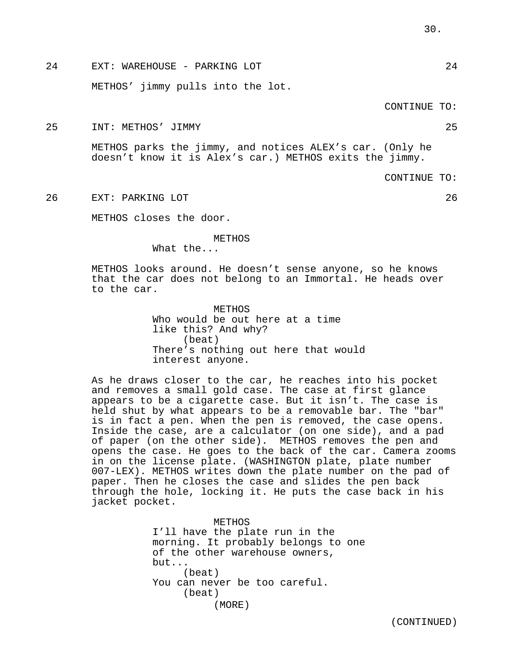24 EXT: WAREHOUSE - PARKING LOT 24

METHOS' jimmy pulls into the lot.

## CONTINUE TO:

25 INT: METHOS' JIMMY 25

METHOS parks the jimmy, and notices ALEX's car. (Only he doesn't know it is Alex's car.) METHOS exits the jimmy.

CONTINUE TO:

26 EXT: PARKING LOT 26

METHOS closes the door.

#### METHOS

What the...

METHOS looks around. He doesn't sense anyone, so he knows that the car does not belong to an Immortal. He heads over to the car.

> **METHOS** Who would be out here at a time like this? And why? (beat) There's nothing out here that would interest anyone.

As he draws closer to the car, he reaches into his pocket and removes a small gold case. The case at first glance appears to be a cigarette case. But it isn't. The case is held shut by what appears to be a removable bar. The "bar" is in fact a pen. When the pen is removed, the case opens. Inside the case, are a calculator (on one side), and a pad of paper (on the other side). METHOS removes the pen and opens the case. He goes to the back of the car. Camera zooms in on the license plate. (WASHINGTON plate, plate number 007-LEX). METHOS writes down the plate number on the pad of paper. Then he closes the case and slides the pen back through the hole, locking it. He puts the case back in his jacket pocket.

> METHOS I'll have the plate run in the morning. It probably belongs to one of the other warehouse owners, but... (beat) You can never be too careful. (beat) (MORE)

> > (CONTINUED)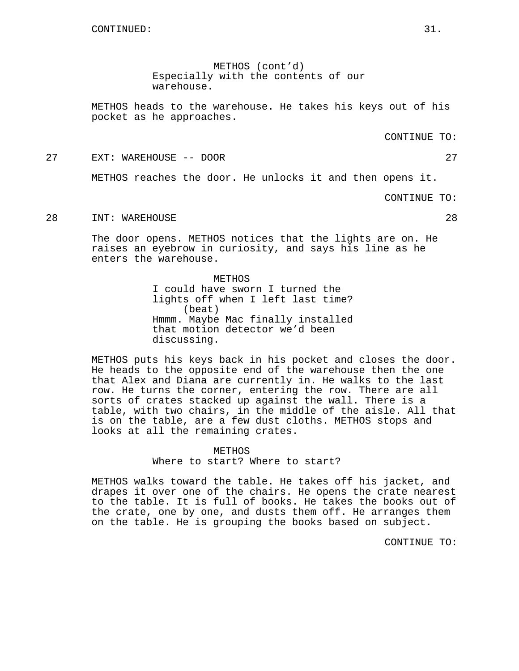METHOS (cont'd) Especially with the contents of our warehouse.

METHOS heads to the warehouse. He takes his keys out of his pocket as he approaches.

CONTINUE TO:

27 EXT: WAREHOUSE -- DOOR 27

METHOS reaches the door. He unlocks it and then opens it.

CONTINUE TO:

28 INT: WAREHOUSE 28

The door opens. METHOS notices that the lights are on. He raises an eyebrow in curiosity, and says his line as he enters the warehouse.

> METHOS I could have sworn I turned the lights off when I left last time? (beat) Hmmm. Maybe Mac finally installed that motion detector we'd been discussing.

METHOS puts his keys back in his pocket and closes the door. He heads to the opposite end of the warehouse then the one that Alex and Diana are currently in. He walks to the last row. He turns the corner, entering the row. There are all sorts of crates stacked up against the wall. There is a table, with two chairs, in the middle of the aisle. All that is on the table, are a few dust cloths. METHOS stops and looks at all the remaining crates.

> METHOS Where to start? Where to start?

METHOS walks toward the table. He takes off his jacket, and drapes it over one of the chairs. He opens the crate nearest to the table. It is full of books. He takes the books out of the crate, one by one, and dusts them off. He arranges them on the table. He is grouping the books based on subject.

CONTINUE TO: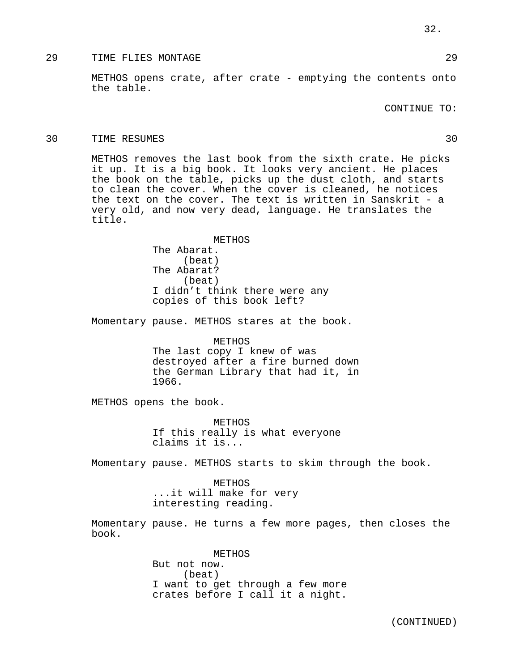METHOS opens crate, after crate - emptying the contents onto the table.

CONTINUE TO:

### 30 TIME RESUMES 30

METHOS removes the last book from the sixth crate. He picks it up. It is a big book. It looks very ancient. He places the book on the table, picks up the dust cloth, and starts to clean the cover. When the cover is cleaned, he notices the text on the cover. The text is written in Sanskrit - a very old, and now very dead, language. He translates the title.

> METHOS The Abarat. (beat) The Abarat? (beat) I didn't think there were any copies of this book left?

Momentary pause. METHOS stares at the book.

METHOS

The last copy I knew of was destroyed after a fire burned down the German Library that had it, in 1966.

METHOS opens the book.

METHOS If this really is what everyone claims it is...

Momentary pause. METHOS starts to skim through the book.

METHOS ...it will make for very interesting reading.

Momentary pause. He turns a few more pages, then closes the book.

> METHOS But not now. (beat) I want to get through a few more crates before I call it a night.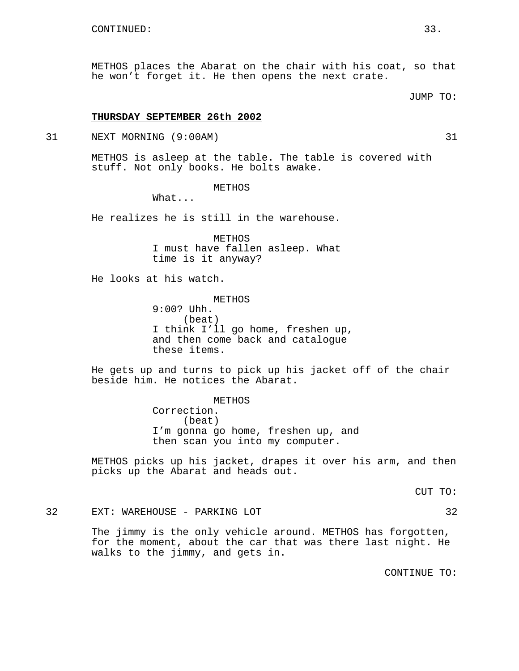METHOS places the Abarat on the chair with his coat, so that he won't forget it. He then opens the next crate.

JUMP TO:

### **THURSDAY SEPTEMBER 26th 2002**

31 NEXT MORNING (9:00AM) 31

METHOS is asleep at the table. The table is covered with stuff. Not only books. He bolts awake.

# METHOS

What...

He realizes he is still in the warehouse.

METHOS I must have fallen asleep. What time is it anyway?

He looks at his watch.

METHOS 9:00? Uhh. (beat) I think I'll go home, freshen up, and then come back and catalogue these items.

He gets up and turns to pick up his jacket off of the chair beside him. He notices the Abarat.

> METHOS Correction. (beat) I'm gonna go home, freshen up, and then scan you into my computer.

METHOS picks up his jacket, drapes it over his arm, and then picks up the Abarat and heads out.

CUT TO:

32 EXT: WAREHOUSE - PARKING LOT 32

The jimmy is the only vehicle around. METHOS has forgotten, for the moment, about the car that was there last night. He walks to the jimmy, and gets in.

CONTINUE TO: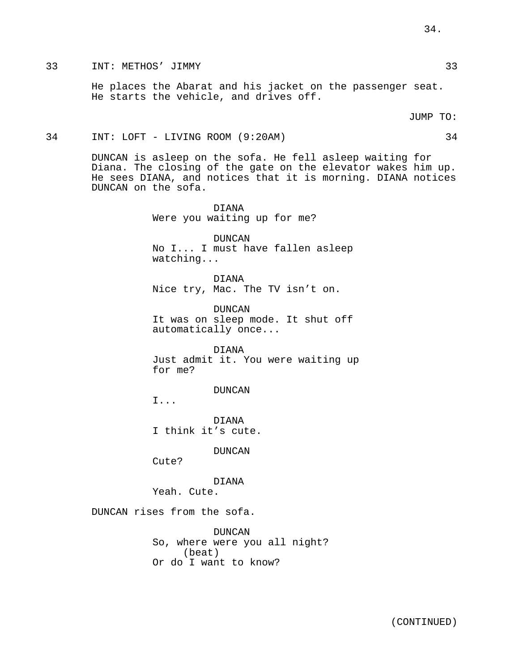He places the Abarat and his jacket on the passenger seat. He starts the vehicle, and drives off.

JUMP TO:

### 34 INT: LOFT - LIVING ROOM (9:20AM) 34

DUNCAN is asleep on the sofa. He fell asleep waiting for Diana. The closing of the gate on the elevator wakes him up. He sees DIANA, and notices that it is morning. DIANA notices DUNCAN on the sofa.

> DIANA Were you waiting up for me?

DUNCAN No I... I must have fallen asleep watching...

DIANA Nice try, Mac. The TV isn't on.

DUNCAN It was on sleep mode. It shut off automatically once...

DIANA Just admit it. You were waiting up for me?

DUNCAN

I...

DIANA I think it's cute.

DUNCAN

Cute?

DIANA

Yeah. Cute.

DUNCAN rises from the sofa.

DUNCAN So, where were you all night? (beat) Or do I want to know?

34.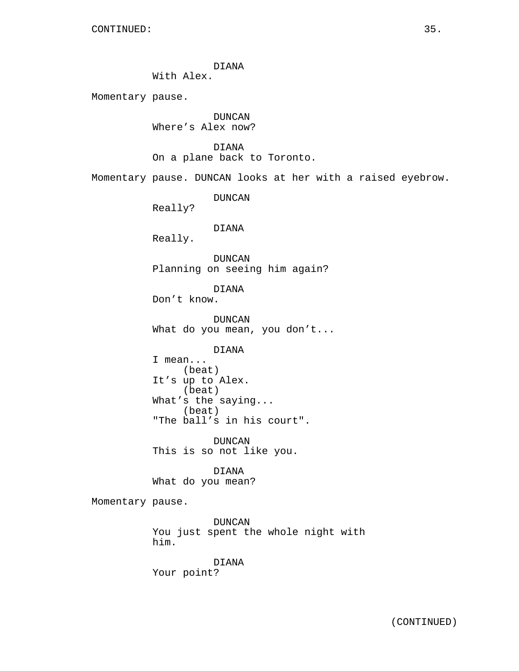DIANA

With Alex.

Momentary pause.

DUNCAN Where's Alex now?

DIANA On a plane back to Toronto.

Momentary pause. DUNCAN looks at her with a raised eyebrow.

DUNCAN

Really?

DIANA

Really.

DUNCAN Planning on seeing him again?

DIANA

Don't know.

DUNCAN What do you mean, you don't...

DIANA

I mean... (beat) It's up to Alex. (beat) What's the saying... (beat) "The ball's in his court".

DUNCAN This is so not like you.

DIANA What do you mean?

Momentary pause.

DUNCAN You just spent the whole night with him.

DIANA Your point?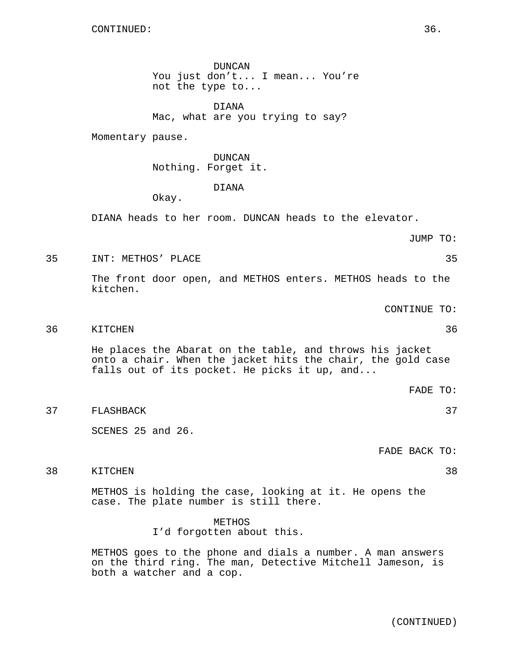DUNCAN You just don't... I mean... You're not the type to...

DIANA Mac, what are you trying to say?

Momentary pause.

DUNCAN Nothing. Forget it.

DIANA

Okay.

DIANA heads to her room. DUNCAN heads to the elevator.

JUMP TO:

35 INT: METHOS' PLACE 35

The front door open, and METHOS enters. METHOS heads to the kitchen.

CONTINUE TO:

### 36 KITCHEN 36

He places the Abarat on the table, and throws his jacket onto a chair. When the jacket hits the chair, the gold case falls out of its pocket. He picks it up, and...

FADE TO:

37 FLASHBACK 37

SCENES 25 and 26.

FADE BACK TO:

38 KITCHEN 38

METHOS is holding the case, looking at it. He opens the case. The plate number is still there.

> METHOS I'd forgotten about this.

METHOS goes to the phone and dials a number. A man answers on the third ring. The man, Detective Mitchell Jameson, is both a watcher and a cop.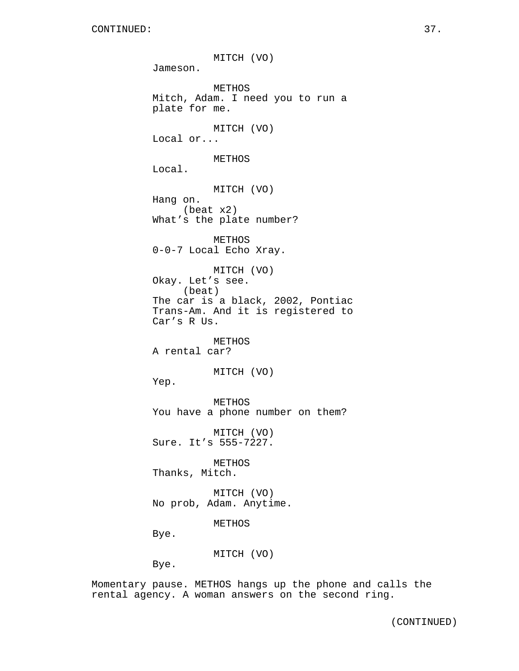MITCH (VO) Jameson. METHOS Mitch, Adam. I need you to run a plate for me. MITCH (VO) Local or... METHOS Local. MITCH (VO) Hang on. (beat x2) What's the plate number? METHOS 0-0-7 Local Echo Xray. MITCH (VO) Okay. Let's see. (beat) The car is a black, 2002, Pontiac Trans-Am. And it is registered to Car's R Us. METHOS A rental car? MITCH (VO) Yep. METHOS You have a phone number on them? MITCH (VO) Sure. It's 555-7227. METHOS Thanks, Mitch. MITCH (VO) No prob, Adam. Anytime. METHOS Bye. MITCH (VO) Bye.

Momentary pause. METHOS hangs up the phone and calls the rental agency. A woman answers on the second ring.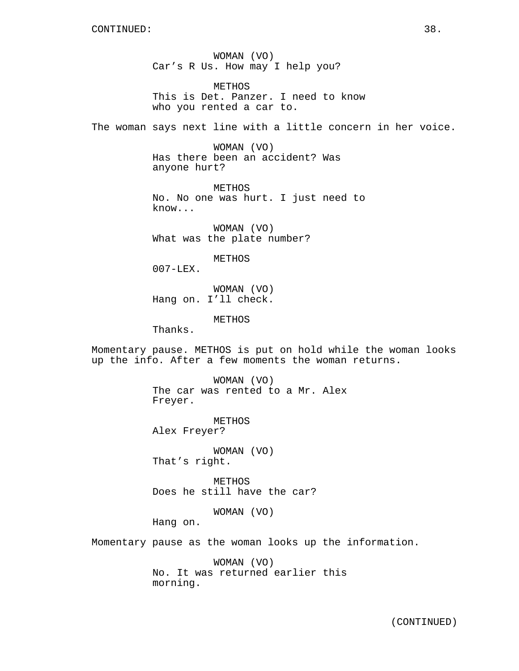WOMAN (VO) Car's R Us. How may I help you?

METHOS This is Det. Panzer. I need to know who you rented a car to.

The woman says next line with a little concern in her voice.

WOMAN (VO) Has there been an accident? Was anyone hurt?

METHOS No. No one was hurt. I just need to know...

WOMAN (VO) What was the plate number?

METHOS

 $007 - LEX$ .

WOMAN (VO) Hang on. I'll check.

METHOS

Thanks.

Momentary pause. METHOS is put on hold while the woman looks up the info. After a few moments the woman returns.

> WOMAN (VO) The car was rented to a Mr. Alex Freyer.

METHOS Alex Freyer?

WOMAN (VO) That's right.

**METHOS** Does he still have the car?

WOMAN (VO)

Hang on.

Momentary pause as the woman looks up the information.

WOMAN (VO) No. It was returned earlier this morning.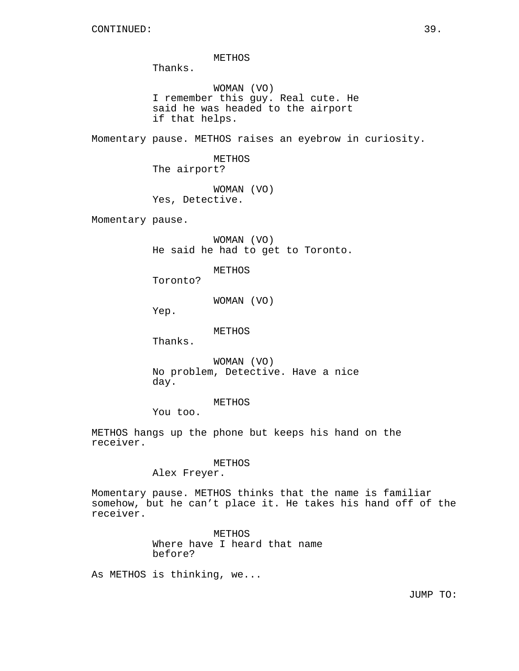METHOS

Thanks.

WOMAN (VO) I remember this guy. Real cute. He said he was headed to the airport if that helps.

Momentary pause. METHOS raises an eyebrow in curiosity.

METHOS The airport?

WOMAN (VO) Yes, Detective.

Momentary pause.

WOMAN (VO) He said he had to get to Toronto.

METHOS

Toronto?

WOMAN (VO)

Yep.

METHOS

Thanks.

WOMAN (VO) No problem, Detective. Have a nice day.

METHOS

You too.

METHOS hangs up the phone but keeps his hand on the receiver.

### METHOS

Alex Freyer.

Momentary pause. METHOS thinks that the name is familiar somehow, but he can't place it. He takes his hand off of the receiver.

> METHOS Where have I heard that name before?

As METHOS is thinking, we...

JUMP TO: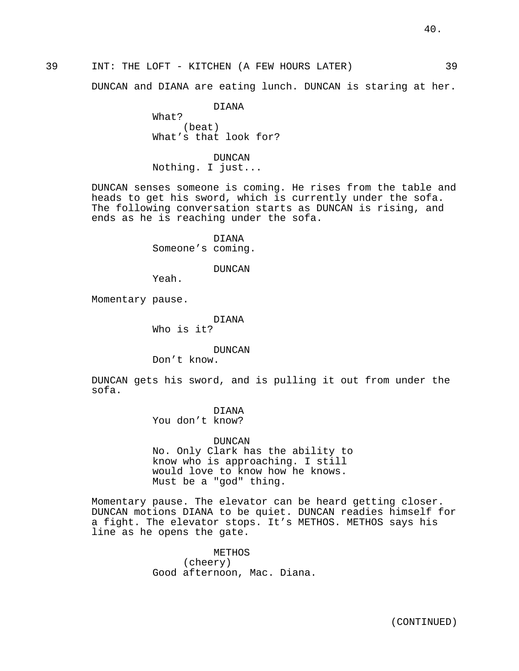### 39 INT: THE LOFT - KITCHEN (A FEW HOURS LATER) 39

DUNCAN and DIANA are eating lunch. DUNCAN is staring at her.

DIANA What? (beat) What's that look for?

DUNCAN Nothing. I just...

DUNCAN senses someone is coming. He rises from the table and heads to get his sword, which is currently under the sofa. The following conversation starts as DUNCAN is rising, and ends as he is reaching under the sofa.

> DIANA Someone's coming.

> > DUNCAN

Yeah.

Momentary pause.

DIANA Who is it?

DUNCAN

Don't know.

DUNCAN gets his sword, and is pulling it out from under the sofa.

> DIANA You don't know?

DUNCAN No. Only Clark has the ability to know who is approaching. I still would love to know how he knows. Must be a "god" thing.

Momentary pause. The elevator can be heard getting closer. DUNCAN motions DIANA to be quiet. DUNCAN readies himself for a fight. The elevator stops. It's METHOS. METHOS says his line as he opens the gate.

> METHOS (cheery) Good afternoon, Mac. Diana.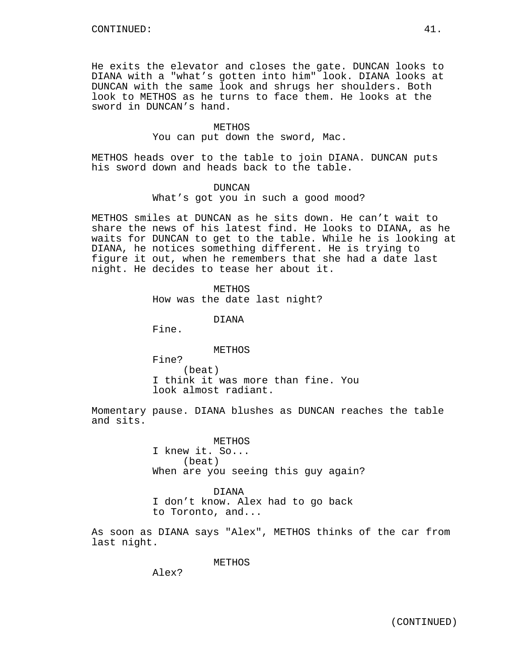He exits the elevator and closes the gate. DUNCAN looks to DIANA with a "what's gotten into him" look. DIANA looks at DUNCAN with the same look and shrugs her shoulders. Both look to METHOS as he turns to face them. He looks at the sword in DUNCAN's hand.

### METHOS You can put down the sword, Mac.

METHOS heads over to the table to join DIANA. DUNCAN puts his sword down and heads back to the table.

### DUNCAN

What's got you in such a good mood?

METHOS smiles at DUNCAN as he sits down. He can't wait to share the news of his latest find. He looks to DIANA, as he waits for DUNCAN to get to the table. While he is looking at DIANA, he notices something different. He is trying to figure it out, when he remembers that she had a date last night. He decides to tease her about it.

### **METHOS**

How was the date last night?

DIANA

Fine.

### METHOS

Fine? (beat) I think it was more than fine. You look almost radiant.

Momentary pause. DIANA blushes as DUNCAN reaches the table and sits.

> **METHOS** I knew it. So... (beat) When are you seeing this guy again?

DIANA I don't know. Alex had to go back to Toronto, and...

As soon as DIANA says "Alex", METHOS thinks of the car from last night.

METHOS

Alex?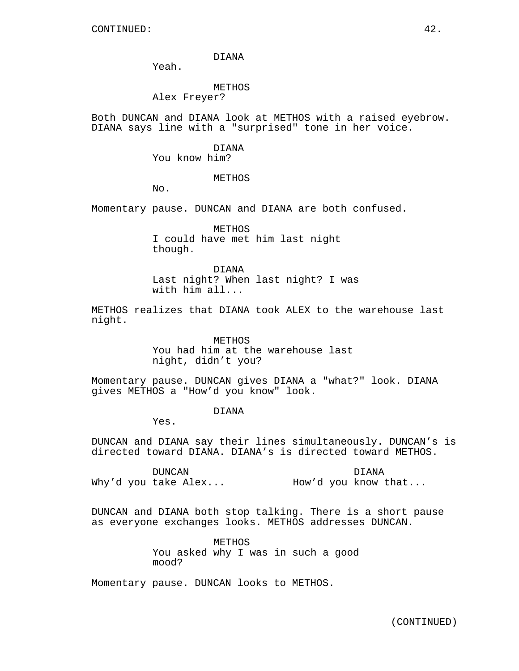DIANA

Yeah.

METHOS

Alex Freyer?

Both DUNCAN and DIANA look at METHOS with a raised eyebrow. DIANA says line with a "surprised" tone in her voice.

DIANA

You know him?

METHOS

No.

Momentary pause. DUNCAN and DIANA are both confused.

METHOS I could have met him last night though.

DIANA Last night? When last night? I was with him all...

METHOS realizes that DIANA took ALEX to the warehouse last night.

> **METHOS** You had him at the warehouse last night, didn't you?

Momentary pause. DUNCAN gives DIANA a "what?" look. DIANA gives METHOS a "How'd you know" look.

DIANA

Yes.

DUNCAN and DIANA say their lines simultaneously. DUNCAN's is directed toward DIANA. DIANA's is directed toward METHOS.

DUNCAN Why'd you take Alex... DIANA How'd you know that...

DUNCAN and DIANA both stop talking. There is a short pause as everyone exchanges looks. METHOS addresses DUNCAN.

> METHOS You asked why I was in such a good mood?

Momentary pause. DUNCAN looks to METHOS.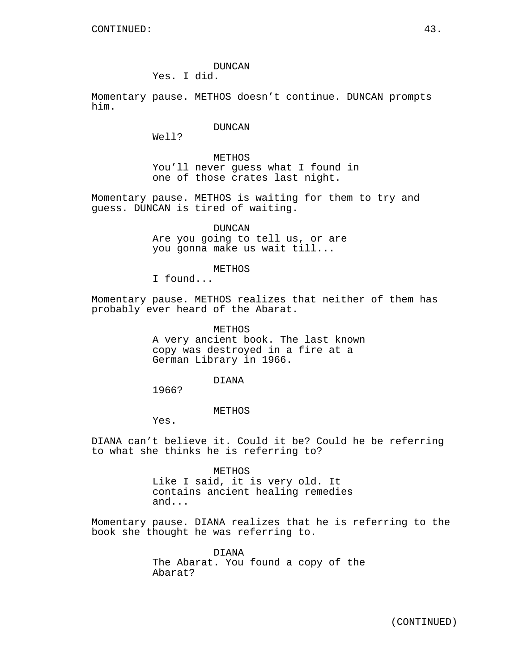DUNCAN Yes. I did.

Momentary pause. METHOS doesn't continue. DUNCAN prompts him.

DUNCAN

Well?

METHOS You'll never guess what I found in one of those crates last night.

Momentary pause. METHOS is waiting for them to try and guess. DUNCAN is tired of waiting.

> DUNCAN Are you going to tell us, or are you gonna make us wait till...

> > METHOS

I found...

Momentary pause. METHOS realizes that neither of them has probably ever heard of the Abarat.

> METHOS A very ancient book. The last known copy was destroyed in a fire at a German Library in 1966.

> > DIANA

1966?

METHOS

Yes.

DIANA can't believe it. Could it be? Could he be referring to what she thinks he is referring to?

> METHOS Like I said, it is very old. It contains ancient healing remedies and...

Momentary pause. DIANA realizes that he is referring to the book she thought he was referring to.

> DIANA The Abarat. You found a copy of the Abarat?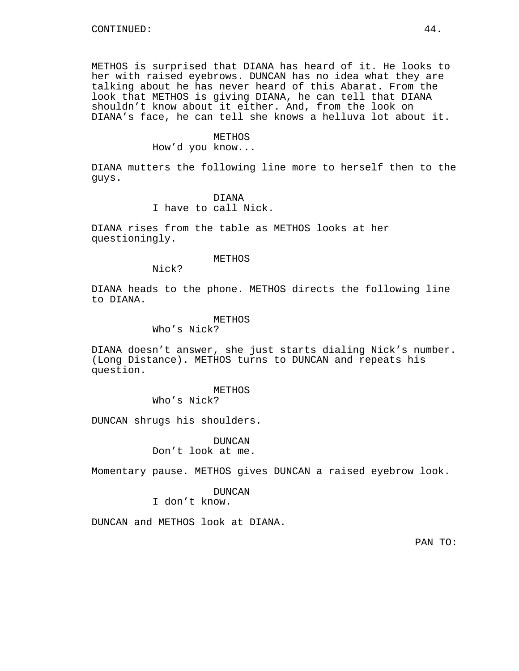METHOS is surprised that DIANA has heard of it. He looks to her with raised eyebrows. DUNCAN has no idea what they are talking about he has never heard of this Abarat. From the look that METHOS is giving DIANA, he can tell that DIANA shouldn't know about it either. And, from the look on DIANA's face, he can tell she knows a helluva lot about it.

### METHOS

How'd you know...

DIANA mutters the following line more to herself then to the guys.

> DIANA I have to call Nick.

DIANA rises from the table as METHOS looks at her questioningly.

#### METHOS

Nick?

DIANA heads to the phone. METHOS directs the following line to DIANA.

### METHOS

Who's Nick?

DIANA doesn't answer, she just starts dialing Nick's number. (Long Distance). METHOS turns to DUNCAN and repeats his question.

> METHOS Who's Nick?

DUNCAN shrugs his shoulders.

DUNCAN Don't look at me.

Momentary pause. METHOS gives DUNCAN a raised eyebrow look.

### DUNCAN

I don't know.

DUNCAN and METHOS look at DIANA.

PAN TO: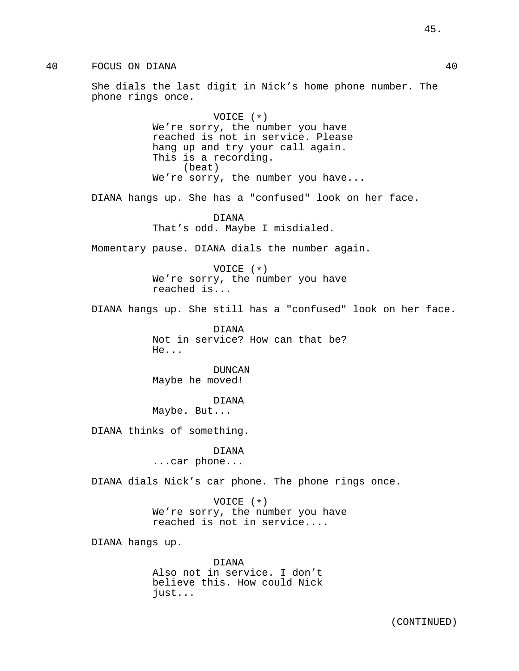40 FOCUS ON DIANA 40

She dials the last digit in Nick's home phone number. The phone rings once.

> VOICE (\*) We're sorry, the number you have reached is not in service. Please hang up and try your call again. This is a recording. (beat) We're sorry, the number you have...

DIANA hangs up. She has a "confused" look on her face.

DIANA That's odd. Maybe I misdialed.

Momentary pause. DIANA dials the number again.

VOICE (\*) We're sorry, the number you have reached is...

DIANA hangs up. She still has a "confused" look on her face.

DIANA Not in service? How can that be? He...

DUNCAN Maybe he moved!

DIANA

Maybe. But...

DIANA thinks of something.

DIANA

...car phone...

DIANA dials Nick's car phone. The phone rings once.

VOICE (\*) We're sorry, the number you have reached is not in service....

DIANA hangs up.

DIANA Also not in service. I don't believe this. How could Nick just...

45.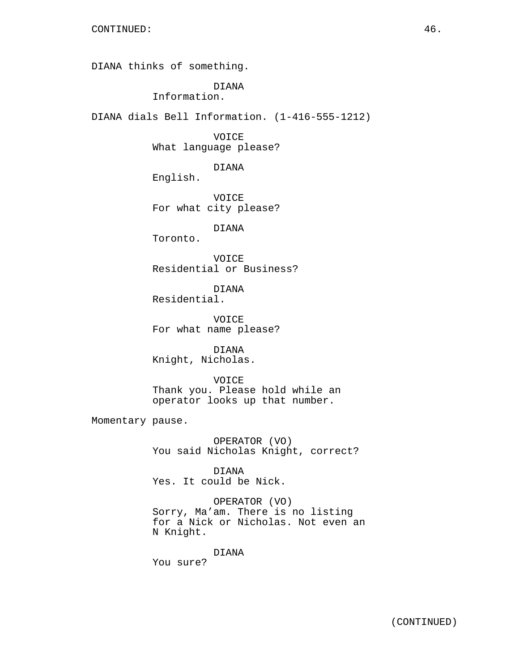DIANA thinks of something.

DIANA

Information.

DIANA dials Bell Information. (1-416-555-1212)

VOICE What language please?

DIANA

English.

VOICE For what city please?

DIANA

Toronto.

VOICE Residential or Business?

DIANA Residential.

VOICE For what name please?

DIANA Knight, Nicholas.

VOICE Thank you. Please hold while an operator looks up that number.

Momentary pause.

OPERATOR (VO) You said Nicholas Knight, correct?

DIANA Yes. It could be Nick.

OPERATOR (VO) Sorry, Ma'am. There is no listing for a Nick or Nicholas. Not even an N Knight.

DIANA

You sure?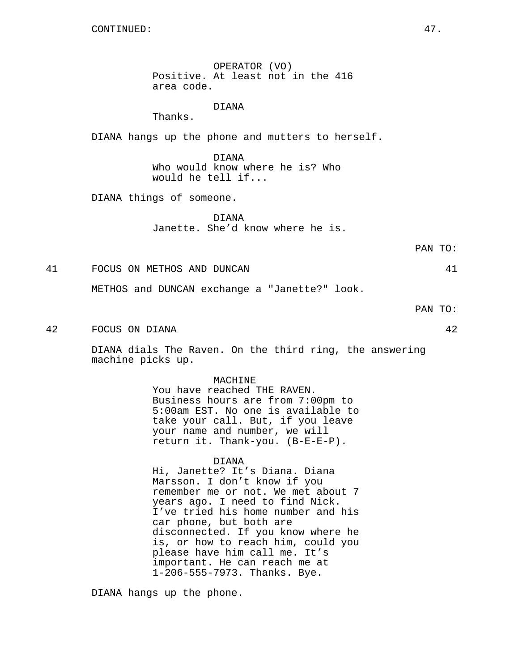OPERATOR (VO) Positive. At least not in the 416 area code.

### DIANA

Thanks.

DIANA hangs up the phone and mutters to herself.

DIANA Who would know where he is? Who would he tell if...

DIANA things of someone.

DIANA Janette. She'd know where he is.

41 FOCUS ON METHOS AND DUNCAN 41

METHOS and DUNCAN exchange a "Janette?" look.

PAN TO:

PAN TO:

42 FOCUS ON DIANA 42

DIANA dials The Raven. On the third ring, the answering machine picks up.

#### MACHINE

You have reached THE RAVEN. Business hours are from 7:00pm to 5:00am EST. No one is available to take your call. But, if you leave your name and number, we will return it. Thank-you. (B-E-E-P).

### DIANA

Hi, Janette? It's Diana. Diana Marsson. I don't know if you remember me or not. We met about 7 years ago. I need to find Nick. I've tried his home number and his car phone, but both are disconnected. If you know where he is, or how to reach him, could you please have him call me. It's important. He can reach me at 1-206-555-7973. Thanks. Bye.

DIANA hangs up the phone.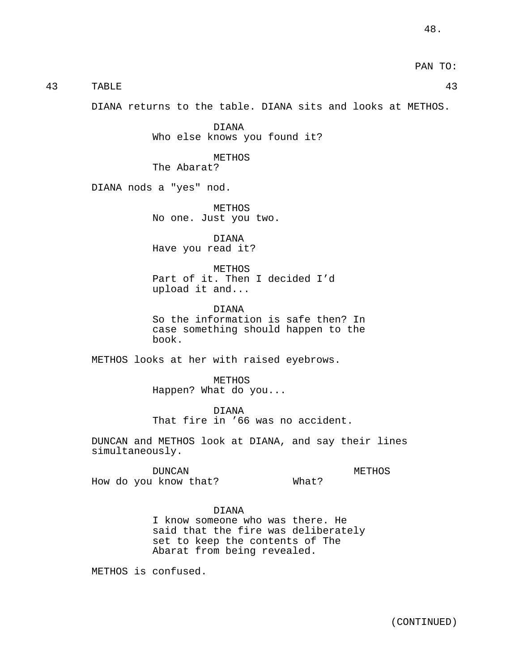PAN TO:

| safe then? In<br>nappen to the                 |
|------------------------------------------------|
| eyebrows.                                      |
|                                                |
| o accident.                                    |
| and say their lines                            |
| METHOS<br>What?                                |
| there. He<br>deliberately<br>s of The<br>aled. |
|                                                |
| (CONTINUED)                                    |

43 TABLE 43

DIANA returns to the table. DIANA sits and looks at METHOS.

DIANA Who else knows you found it?

METHOS The Abarat?

DIANA nods a "yes" nod.

METHOS No one. Just you two.

DIANA Have you read it?

METHOS Part of it. Then I decided I'd upload it and...

DIANA So the information is sa case something should ha book.

METHOS looks at her with raised ey

METHOS Happen? What do you...

DIANA That fire in '66 was no

DUNCAN and METHOS look at DIANA, a simultaneously.

DUNCAN How do you know that?

# DIANA

I know someone who was the said that the fire was de set to keep the contents Abarat from being reveal

METHOS is confused.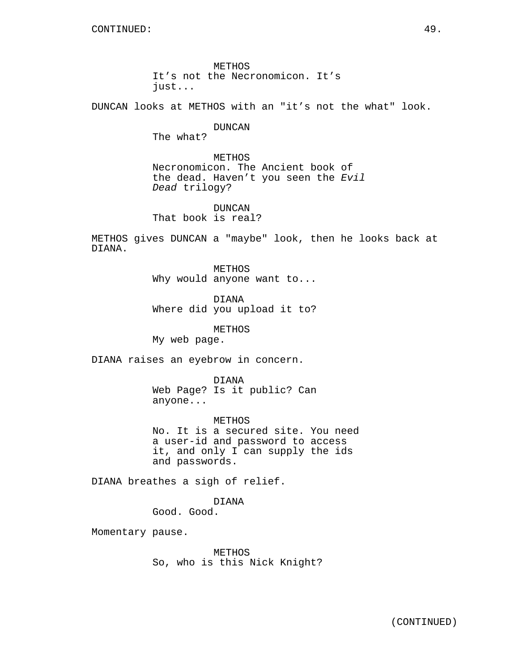METHOS It's not the Necronomicon. It's just...

DUNCAN looks at METHOS with an "it's not the what" look.

DUNCAN

The what?

METHOS Necronomicon. The Ancient book of the dead. Haven't you seen the Evil Dead trilogy?

DUNCAN That book is real?

METHOS gives DUNCAN a "maybe" look, then he looks back at DIANA.

> METHOS Why would anyone want to...

DIANA Where did you upload it to?

METHOS

My web page.

DIANA raises an eyebrow in concern.

DIANA Web Page? Is it public? Can anyone...

METHOS No. It is a secured site. You need a user-id and password to access it, and only I can supply the ids and passwords.

DIANA breathes a sigh of relief.

DIANA Good. Good.

Momentary pause.

METHOS So, who is this Nick Knight?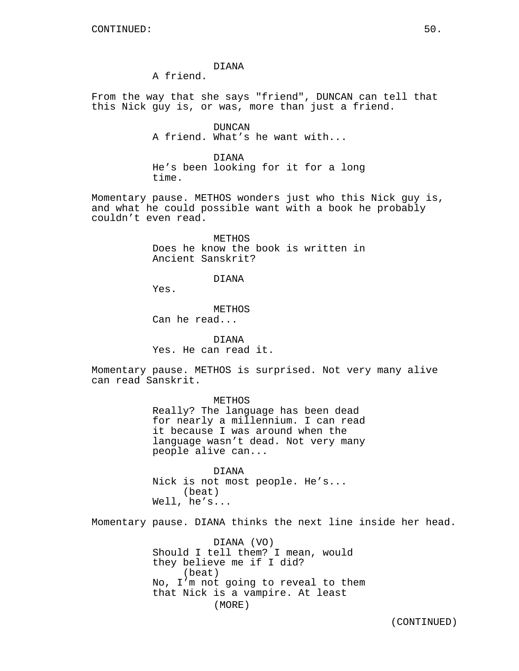DIANA

A friend.

From the way that she says "friend", DUNCAN can tell that this Nick guy is, or was, more than just a friend.

> DUNCAN A friend. What's he want with...

DIANA He's been looking for it for a long time.

Momentary pause. METHOS wonders just who this Nick guy is, and what he could possible want with a book he probably couldn't even read.

> METHOS Does he know the book is written in Ancient Sanskrit?

> > DIANA

Yes.

**METHOS** Can he read...

DIANA Yes. He can read it.

Momentary pause. METHOS is surprised. Not very many alive can read Sanskrit.

> METHOS Really? The language has been dead for nearly a millennium. I can read it because I was around when the language wasn't dead. Not very many people alive can...

DIANA Nick is not most people. He's... (beat) Well, he's...

Momentary pause. DIANA thinks the next line inside her head.

DIANA (VO) Should I tell them? I mean, would they believe me if I did? (beat) No, I'm not going to reveal to them that Nick is a vampire. At least (MORE)

(CONTINUED)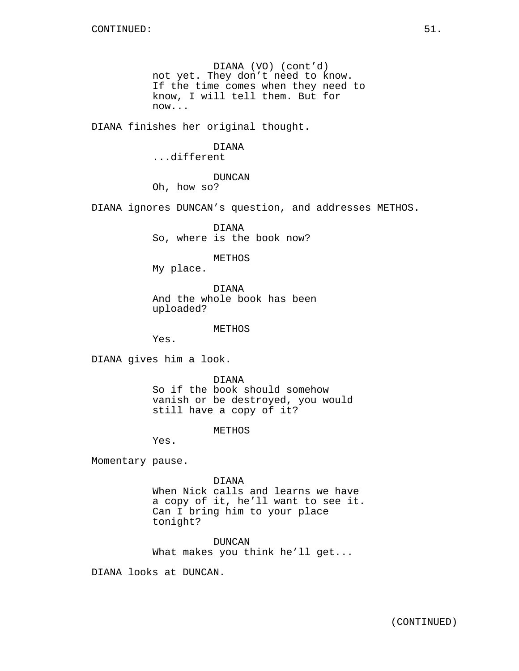DIANA (VO) (cont'd) not yet. They don't need to know. If the time comes when they need to know, I will tell them. But for now...

DIANA finishes her original thought.

### DIANA

### ...different

### DUNCAN

Oh, how so?

DIANA ignores DUNCAN's question, and addresses METHOS.

DIANA So, where is the book now?

### METHOS

My place.

DIANA And the whole book has been uploaded?

METHOS

Yes.

DIANA gives him a look.

DIANA So if the book should somehow vanish or be destroyed, you would still have a copy of it?

METHOS

Yes.

Momentary pause.

DIANA

When Nick calls and learns we have a copy of it, he'll want to see it. Can I bring him to your place tonight?

DUNCAN What makes you think he'll get...

DIANA looks at DUNCAN.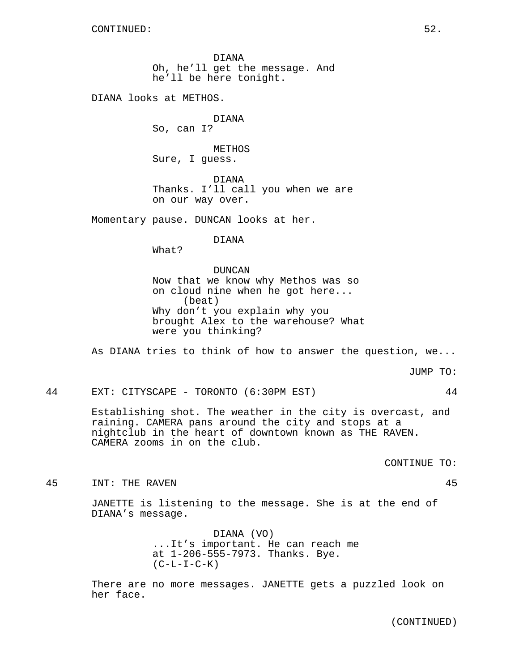DIANA Oh, he'll get the message. And he'll be here tonight.

DIANA looks at METHOS.

DIANA So, can I?

METHOS Sure, I guess.

DIANA Thanks. I'll call you when we are on our way over.

Momentary pause. DUNCAN looks at her.

DIANA

What?

DUNCAN Now that we know why Methos was so on cloud nine when he got here... (beat) Why don't you explain why you brought Alex to the warehouse? What were you thinking?

As DIANA tries to think of how to answer the question, we...

JUMP TO:

44 EXT: CITYSCAPE - TORONTO (6:30PM EST) 44

Establishing shot. The weather in the city is overcast, and raining. CAMERA pans around the city and stops at a nightclub in the heart of downtown known as THE RAVEN. CAMERA zooms in on the club.

CONTINUE TO:

45 INT: THE RAVEN 45

JANETTE is listening to the message. She is at the end of DIANA's message.

> DIANA (VO) ...It's important. He can reach me at 1-206-555-7973. Thanks. Bye.  $(C-L-L-C-K)$

There are no more messages. JANETTE gets a puzzled look on her face.

(CONTINUED)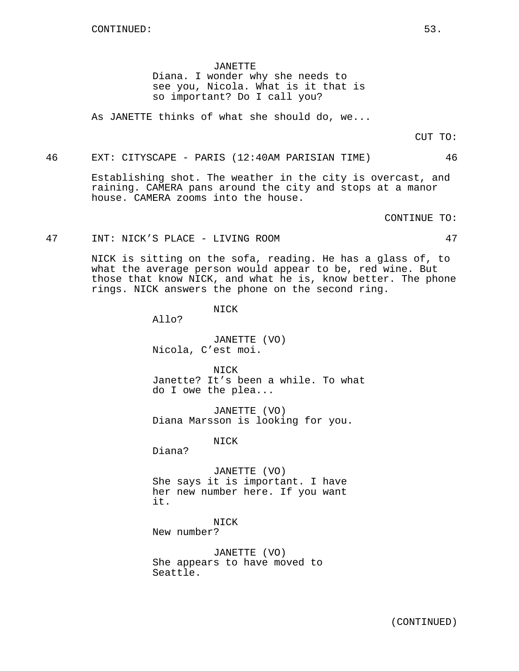JANETTE

Diana. I wonder why she needs to see you, Nicola. What is it that is so important? Do I call you?

As JANETTE thinks of what she should do, we...

CUT TO:

46 EXT: CITYSCAPE - PARIS (12:40AM PARISIAN TIME) 46

Establishing shot. The weather in the city is overcast, and raining. CAMERA pans around the city and stops at a manor house. CAMERA zooms into the house.

CONTINUE TO:

47 INT: NICK'S PLACE - LIVING ROOM 47

NICK is sitting on the sofa, reading. He has a glass of, to what the average person would appear to be, red wine. But those that know NICK, and what he is, know better. The phone rings. NICK answers the phone on the second ring.

NICK

Allo?

JANETTE (VO) Nicola, C'est moi.

NICK Janette? It's been a while. To what do I owe the plea...

JANETTE (VO) Diana Marsson is looking for you.

NICK

Diana?

JANETTE (VO) She says it is important. I have her new number here. If you want it.

NICK

New number?

JANETTE (VO) She appears to have moved to Seattle.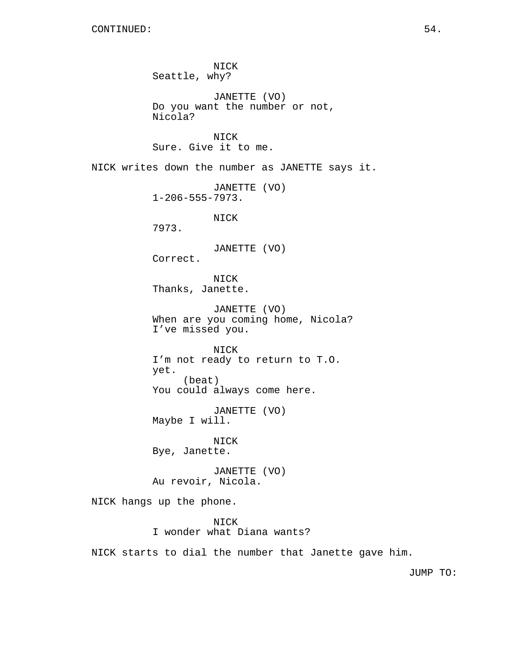NICK Seattle, why? JANETTE (VO) Do you want the number or not, Nicola? NICK Sure. Give it to me. NICK writes down the number as JANETTE says it. JANETTE (VO) 1-206-555-7973. NICK 7973. JANETTE (VO) Correct. NICK Thanks, Janette. JANETTE (VO) When are you coming home, Nicola? I've missed you. NICK I'm not ready to return to T.O. yet. (beat) You could always come here. JANETTE (VO) Maybe I will. NICK Bye, Janette. JANETTE (VO) Au revoir, Nicola. NICK hangs up the phone. NICK I wonder what Diana wants? NICK starts to dial the number that Janette gave him.

JUMP TO: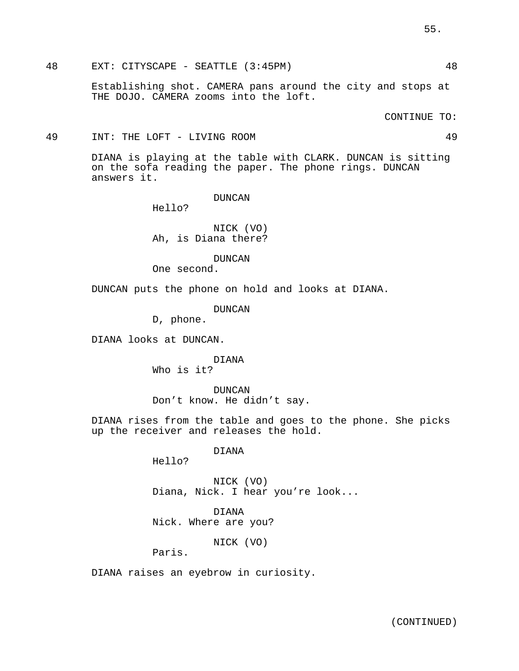48 EXT: CITYSCAPE - SEATTLE (3:45PM) 48

Establishing shot. CAMERA pans around the city and stops at THE DOJO. CAMERA zooms into the loft.

CONTINUE TO:

49 INT: THE LOFT - LIVING ROOM 49

DIANA is playing at the table with CLARK. DUNCAN is sitting on the sofa reading the paper. The phone rings. DUNCAN answers it.

DUNCAN

Hello?

NICK (VO) Ah, is Diana there?

DUNCAN

One second.

DUNCAN puts the phone on hold and looks at DIANA.

DUNCAN

D, phone.

DIANA looks at DUNCAN.

DIANA Who is it?

DUNCAN Don't know. He didn't say.

DIANA rises from the table and goes to the phone. She picks up the receiver and releases the hold.

DIANA

Hello?

NICK (VO) Diana, Nick. I hear you're look...

DIANA Nick. Where are you?

NICK (VO)

Paris.

DIANA raises an eyebrow in curiosity.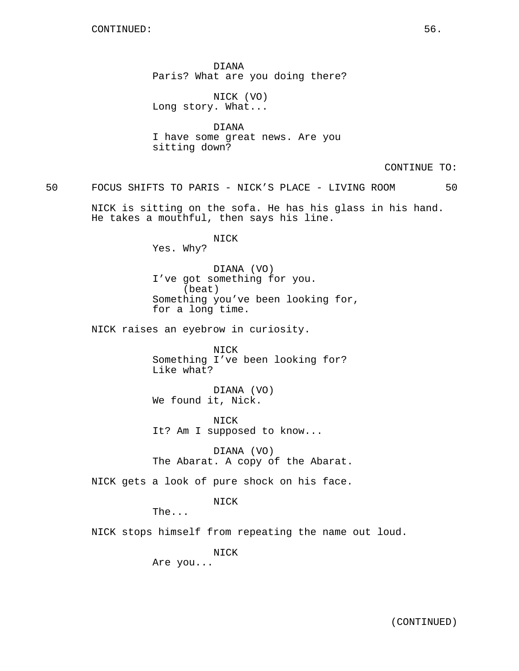DIANA Paris? What are you doing there?

NICK (VO) Long story. What...

DIANA I have some great news. Are you sitting down?

CONTINUE TO:

50 FOCUS SHIFTS TO PARIS - NICK'S PLACE - LIVING ROOM 50

NICK is sitting on the sofa. He has his glass in his hand. He takes a mouthful, then says his line.

> NICK Yes. Why?

DIANA (VO) I've got something for you. (beat) Something you've been looking for, for a long time.

NICK raises an eyebrow in curiosity.

NICK Something I've been looking for? Like what?

DIANA (VO) We found it, Nick.

NICK It? Am I supposed to know...

DIANA (VO) The Abarat. A copy of the Abarat.

NICK gets a look of pure shock on his face.

NICK

The...

NICK stops himself from repeating the name out loud.

NICK

Are you...

(CONTINUED)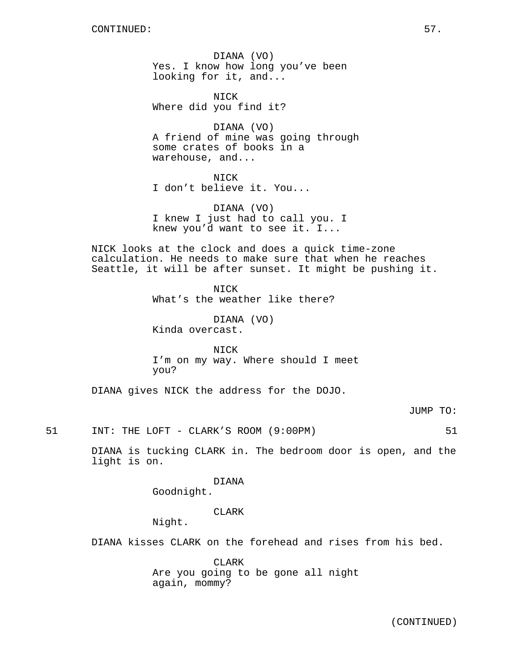DIANA (VO) Yes. I know how long you've been looking for it, and...

NICK Where did you find it?

DIANA (VO) A friend of mine was going through some crates of books in a warehouse, and...

NICK I don't believe it. You...

DIANA (VO) I knew I just had to call you. I knew you'd want to see it. I...

NICK looks at the clock and does a quick time-zone calculation. He needs to make sure that when he reaches Seattle, it will be after sunset. It might be pushing it.

> NICK What's the weather like there?

DIANA (VO) Kinda overcast.

NICK I'm on my way. Where should I meet you?

DIANA gives NICK the address for the DOJO.

JUMP TO:

51 INT: THE LOFT - CLARK'S ROOM (9:00PM) 51

DIANA is tucking CLARK in. The bedroom door is open, and the light is on.

DIANA

Goodnight.

CLARK

Night.

DIANA kisses CLARK on the forehead and rises from his bed.

CLARK Are you going to be gone all night again, mommy?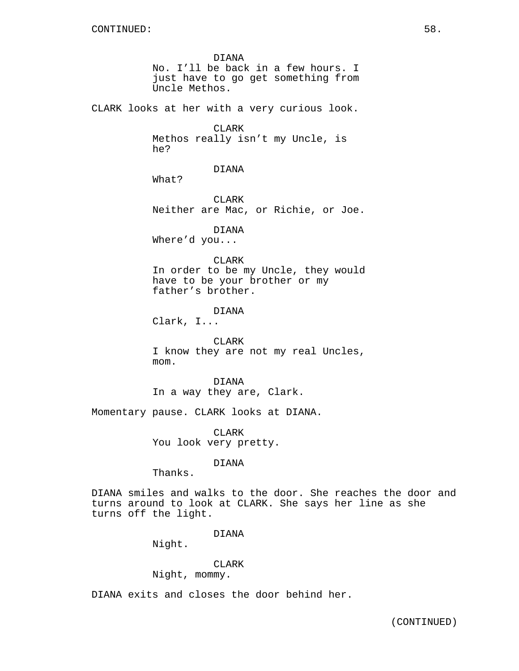DIANA No. I'll be back in a few hours. I just have to go get something from Uncle Methos. CLARK looks at her with a very curious look. CLARK Methos really isn't my Uncle, is he? DIANA What? **CLARK** Neither are Mac, or Richie, or Joe. DIANA Where'd you... CLARK In order to be my Uncle, they would have to be your brother or my father's brother. DIANA Clark, I... CLARK I know they are not my real Uncles, mom. DIANA In a way they are, Clark. Momentary pause. CLARK looks at DIANA. CLARK You look very pretty.

DIANA

Thanks.

DIANA smiles and walks to the door. She reaches the door and turns around to look at CLARK. She says her line as she turns off the light.

### DIANA

Night.

### CLARK

Night, mommy.

DIANA exits and closes the door behind her.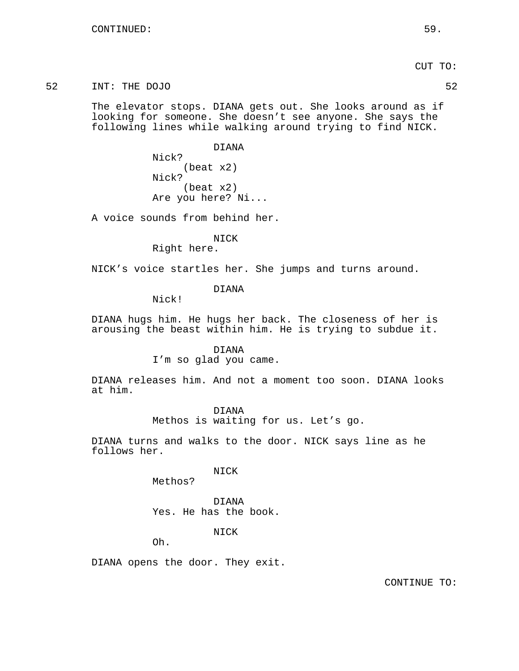52 INT: THE DOJO 52

The elevator stops. DIANA gets out. She looks around as if looking for someone. She doesn't see anyone. She says the following lines while walking around trying to find NICK.

> DIANA Nick? (beat x2) Nick? (beat x2) Are you here? Ni...

A voice sounds from behind her.

NICK

Right here.

NICK's voice startles her. She jumps and turns around.

DIANA

Nick!

DIANA hugs him. He hugs her back. The closeness of her is arousing the beast within him. He is trying to subdue it.

> DIANA I'm so glad you came.

DIANA releases him. And not a moment too soon. DIANA looks at him.

> DIANA Methos is waiting for us. Let's go.

DIANA turns and walks to the door. NICK says line as he follows her.

NICK

Methos?

DIANA Yes. He has the book.

NICK

Oh.

DIANA opens the door. They exit.

CONTINUE TO: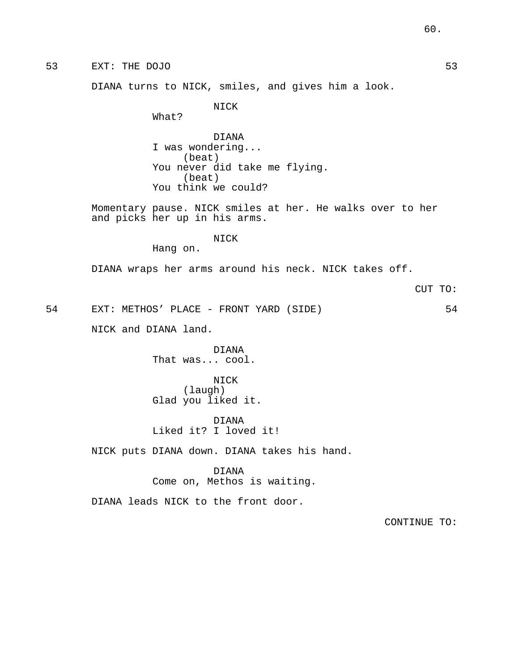53 EXT: THE DOJO 53

DIANA turns to NICK, smiles, and gives him a look.

NICK

What?

DIANA I was wondering... (beat) You never did take me flying. (beat) You think we could?

Momentary pause. NICK smiles at her. He walks over to her and picks her up in his arms.

NICK

Hang on.

DIANA wraps her arms around his neck. NICK takes off.

CUT TO:

54 EXT: METHOS' PLACE - FRONT YARD (SIDE) 54

NICK and DIANA land.

DIANA That was... cool.

NICK (laugh) Glad you liked it.

DIANA Liked it? I loved it!

NICK puts DIANA down. DIANA takes his hand.

DIANA

Come on, Methos is waiting.

DIANA leads NICK to the front door.

CONTINUE TO: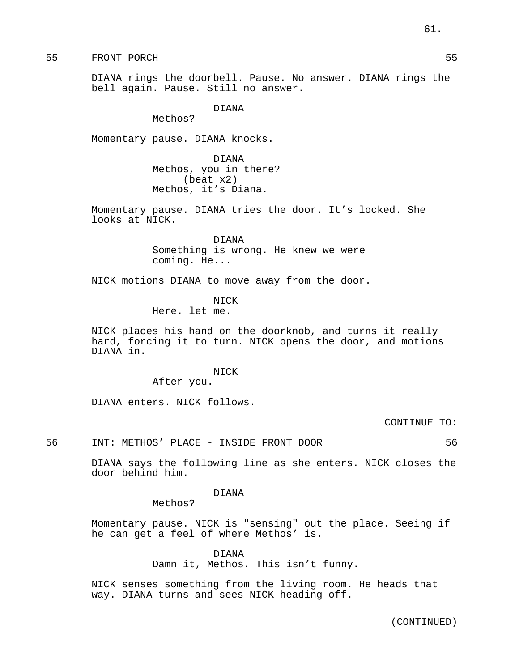55 FRONT PORCH 55

DIANA rings the doorbell. Pause. No answer. DIANA rings the bell again. Pause. Still no answer.

DIANA

Methos?

Momentary pause. DIANA knocks.

DIANA Methos, you in there? (beat x2) Methos, it's Diana.

Momentary pause. DIANA tries the door. It's locked. She looks at NICK.

> DIANA Something is wrong. He knew we were coming. He...

NICK motions DIANA to move away from the door.

NICK

Here. let me.

NICK places his hand on the doorknob, and turns it really hard, forcing it to turn. NICK opens the door, and motions DIANA in.

NICK

After you.

DIANA enters. NICK follows.

CONTINUE TO:

56 INT: METHOS' PLACE - INSIDE FRONT DOOR 56

DIANA says the following line as she enters. NICK closes the door behind him.

DIANA

Methos?

Momentary pause. NICK is "sensing" out the place. Seeing if he can get a feel of where Methos' is.

> DIANA Damn it, Methos. This isn't funny.

NICK senses something from the living room. He heads that way. DIANA turns and sees NICK heading off.

(CONTINUED)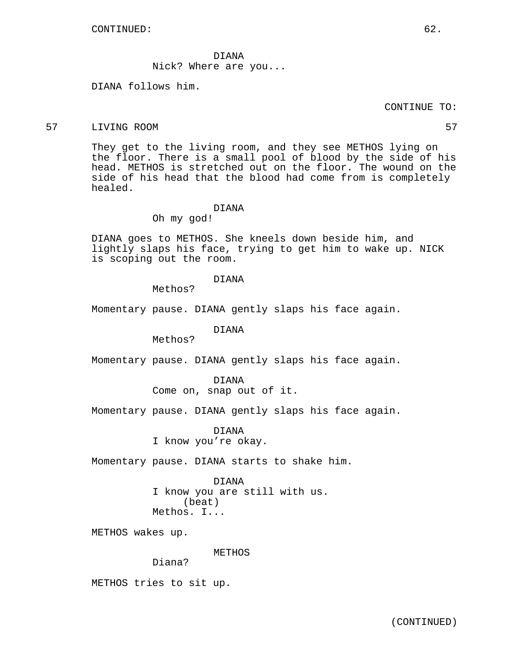DIANA Nick? Where are you...

DIANA follows him.

### CONTINUE TO:

### 57 LIVING ROOM 57

They get to the living room, and they see METHOS lying on the floor. There is a small pool of blood by the side of his head. METHOS is stretched out on the floor. The wound on the side of his head that the blood had come from is completely healed.

#### DIANA

Oh my god!

DIANA goes to METHOS. She kneels down beside him, and lightly slaps his face, trying to get him to wake up. NICK is scoping out the room.

### DIANA

Methos?

Momentary pause. DIANA gently slaps his face again.

DIANA

Methos?

Momentary pause. DIANA gently slaps his face again.

DIANA Come on, snap out of it.

Momentary pause. DIANA gently slaps his face again.

DIANA I know you're okay.

Momentary pause. DIANA starts to shake him.

DIANA I know you are still with us. (beat) Methos. I...

METHOS wakes up.

METHOS

Diana?

METHOS tries to sit up.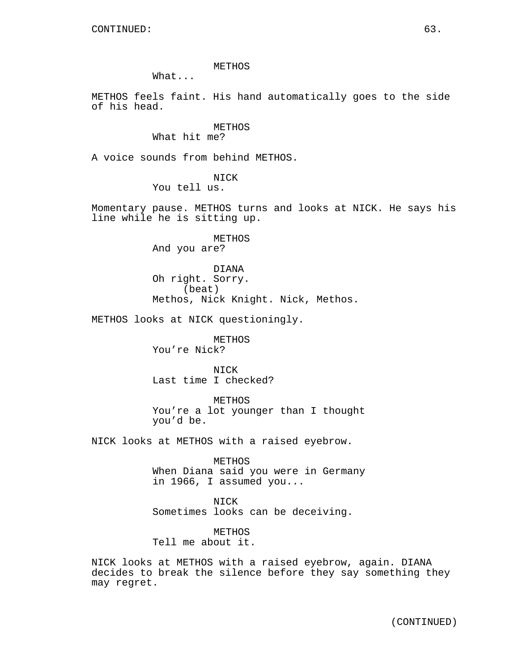METHOS

What...

METHOS feels faint. His hand automatically goes to the side of his head.

## METHOS

What hit me?

A voice sounds from behind METHOS.

NICK

You tell us.

Momentary pause. METHOS turns and looks at NICK. He says his line while he is sitting up.

> METHOS And you are?

DIANA Oh right. Sorry. (beat) Methos, Nick Knight. Nick, Methos.

METHOS looks at NICK questioningly.

METHOS You're Nick?

NICK Last time I checked?

METHOS You're a lot younger than I thought you'd be.

NICK looks at METHOS with a raised eyebrow.

METHOS When Diana said you were in Germany in 1966, I assumed you...

NICK Sometimes looks can be deceiving.

METHOS Tell me about it.

NICK looks at METHOS with a raised eyebrow, again. DIANA decides to break the silence before they say something they may regret.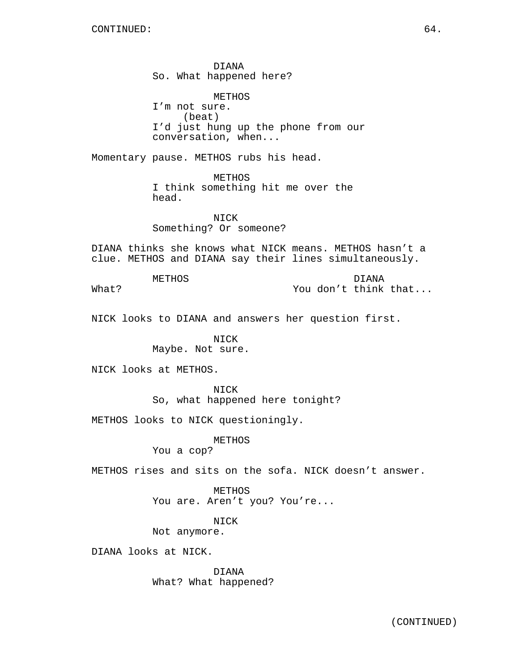DIANA So. What happened here?

METHOS I'm not sure. (beat) I'd just hung up the phone from our conversation, when...

Momentary pause. METHOS rubs his head.

METHOS I think something hit me over the head.

NICK Something? Or someone?

DIANA thinks she knows what NICK means. METHOS hasn't a clue. METHOS and DIANA say their lines simultaneously.

METHOS

DIANA You don't think that...

What?

NICK looks to DIANA and answers her question first.

NICK Maybe. Not sure.

NICK looks at METHOS.

NICK So, what happened here tonight?

METHOS looks to NICK questioningly.

METHOS

You a cop?

METHOS rises and sits on the sofa. NICK doesn't answer.

METHOS You are. Aren't you? You're...

NICK

Not anymore.

DIANA looks at NICK.

DIANA What? What happened?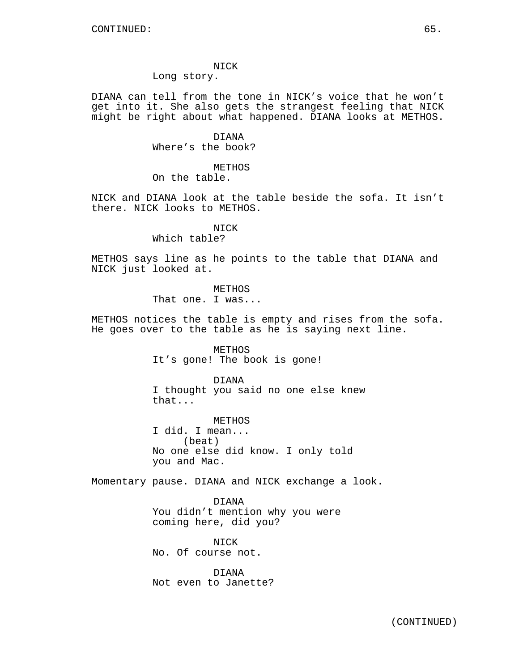NICK

Long story.

DIANA can tell from the tone in NICK's voice that he won't get into it. She also gets the strangest feeling that NICK might be right about what happened. DIANA looks at METHOS.

> DIANA Where's the book?

METHOS On the table.

NICK and DIANA look at the table beside the sofa. It isn't there. NICK looks to METHOS.

### NICK

Which table?

METHOS says line as he points to the table that DIANA and NICK just looked at.

> **METHOS** That one. I was...

METHOS notices the table is empty and rises from the sofa. He goes over to the table as he is saying next line.

> METHOS It's gone! The book is gone!

DIANA I thought you said no one else knew that...

METHOS I did. I mean... (beat) No one else did know. I only told you and Mac.

Momentary pause. DIANA and NICK exchange a look.

DIANA You didn't mention why you were coming here, did you?

NICK No. Of course not.

DIANA Not even to Janette?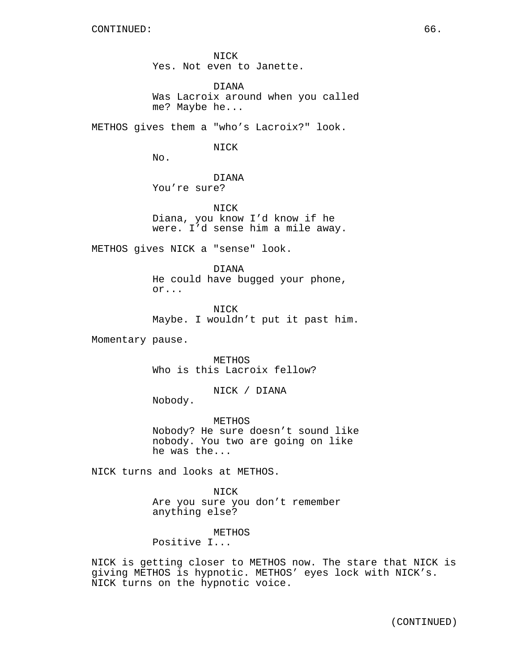NICK Yes. Not even to Janette.

DIANA Was Lacroix around when you called me? Maybe he...

METHOS gives them a "who's Lacroix?" look.

NICK

No.

DIANA You're sure?

NICK Diana, you know I'd know if he were. I'd sense him a mile away.

METHOS gives NICK a "sense" look.

DIANA He could have bugged your phone, or...

NICK Maybe. I wouldn't put it past him.

Momentary pause.

METHOS Who is this Lacroix fellow?

NICK / DIANA

Nobody.

METHOS Nobody? He sure doesn't sound like nobody. You two are going on like he was the...

NICK turns and looks at METHOS.

NICK Are you sure you don't remember anything else?

METHOS

Positive I...

NICK is getting closer to METHOS now. The stare that NICK is giving METHOS is hypnotic. METHOS' eyes lock with NICK's. NICK turns on the hypnotic voice.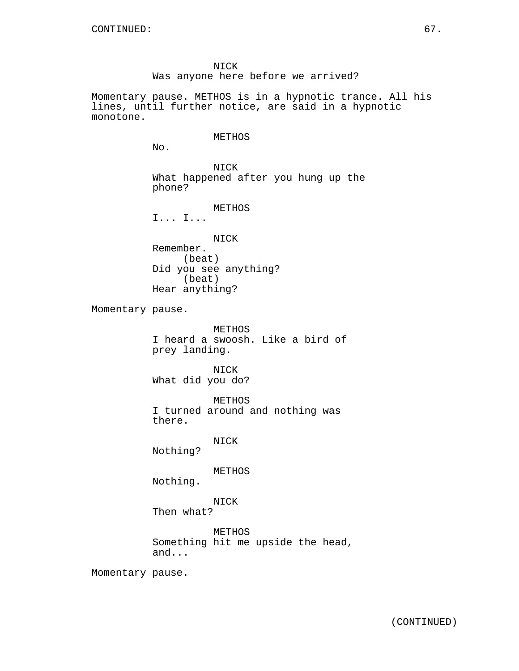NICK Was anyone here before we arrived?

Momentary pause. METHOS is in a hypnotic trance. All his lines, until further notice, are said in a hypnotic monotone.

### METHOS

No.

NICK What happened after you hung up the phone?

METHOS

I... I...

NICK

Remember. (beat) Did you see anything? (beat) Hear anything?

Momentary pause.

METHOS I heard a swoosh. Like a bird of prey landing.

NICK What did you do?

METHOS I turned around and nothing was there.

NICK

Nothing?

METHOS

Nothing.

NICK

Then what?

METHOS Something hit me upside the head, and...

Momentary pause.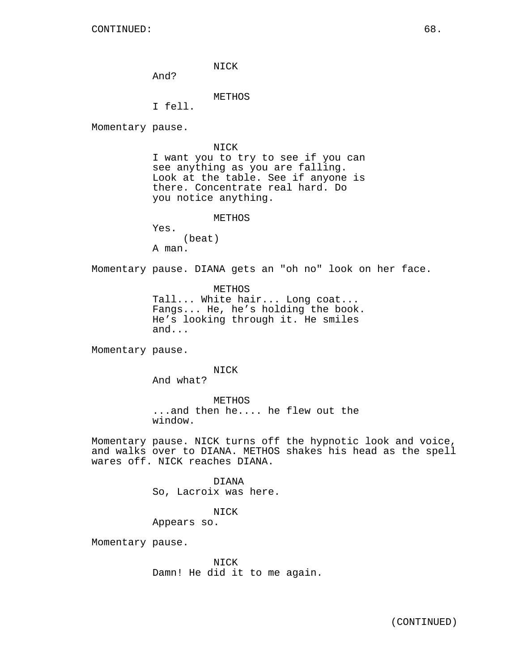NICK

And?

METHOS

I fell.

Momentary pause.

NICK

I want you to try to see if you can see anything as you are falling. Look at the table. See if anyone is there. Concentrate real hard. Do you notice anything.

METHOS

| (beat) |
|--------|
|        |

A man.

Momentary pause. DIANA gets an "oh no" look on her face.

METHOS Tall... White hair... Long coat... Fangs... He, he's holding the book. He's looking through it. He smiles and...

Momentary pause.

NICK

And what?

METHOS ...and then he.... he flew out the window.

Momentary pause. NICK turns off the hypnotic look and voice, and walks over to DIANA. METHOS shakes his head as the spell wares off. NICK reaches DIANA.

> DIANA So, Lacroix was here.

### NICK

Appears so.

Momentary pause.

NICK Damn! He did it to me again.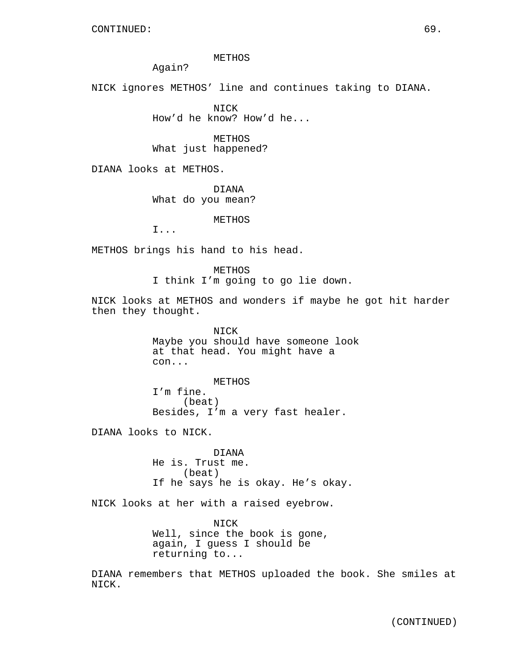METHOS

Again?

NICK ignores METHOS' line and continues taking to DIANA.

NICK How'd he know? How'd he...

METHOS What just happened?

DIANA looks at METHOS.

DIANA What do you mean?

METHOS

I...

METHOS brings his hand to his head.

METHOS I think I'm going to go lie down.

NICK looks at METHOS and wonders if maybe he got hit harder then they thought.

> NICK Maybe you should have someone look at that head. You might have a con...

METHOS I'm fine. (beat) Besides, I'm a very fast healer.

DIANA looks to NICK.

DIANA He is. Trust me. (beat) If he says he is okay. He's okay.

NICK looks at her with a raised eyebrow.

NICK Well, since the book is gone, again, I guess I should be returning to...

DIANA remembers that METHOS uploaded the book. She smiles at NICK.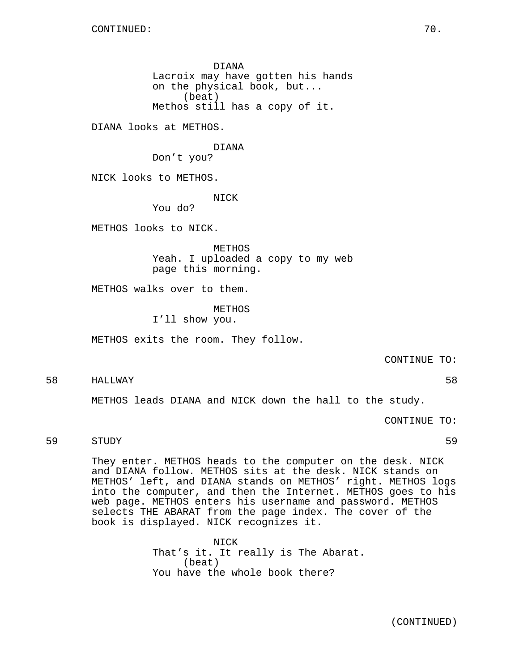DIANA Lacroix may have gotten his hands on the physical book, but... (beat) Methos still has a copy of it.

DIANA looks at METHOS.

DIANA

Don't you?

NICK looks to METHOS.

NICK

You do?

METHOS looks to NICK.

METHOS Yeah. I uploaded a copy to my web page this morning.

METHOS walks over to them.

METHOS I'll show you.

METHOS exits the room. They follow.

CONTINUE TO:

58 HALLWAY 58

METHOS leads DIANA and NICK down the hall to the study.

CONTINUE TO:

### 59 STUDY 59

They enter. METHOS heads to the computer on the desk. NICK and DIANA follow. METHOS sits at the desk. NICK stands on METHOS' left, and DIANA stands on METHOS' right. METHOS logs into the computer, and then the Internet. METHOS goes to his web page. METHOS enters his username and password. METHOS selects THE ABARAT from the page index. The cover of the book is displayed. NICK recognizes it.

> NICK That's it. It really is The Abarat. (beat) You have the whole book there?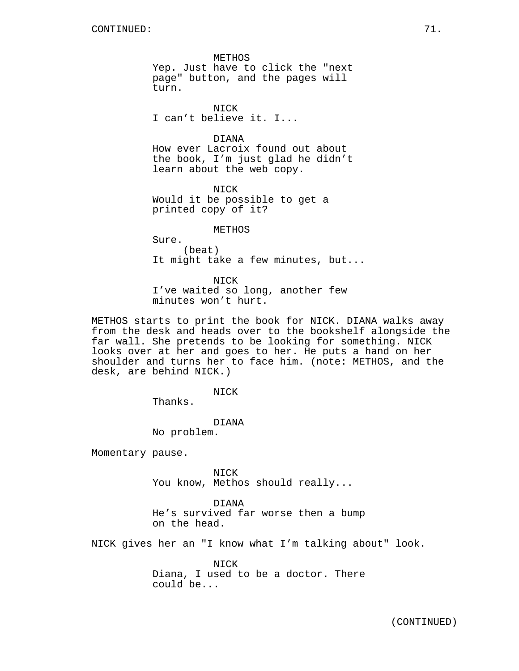METHOS Yep. Just have to click the "next page" button, and the pages will turn.

NICK I can't believe it. I...

DIANA

How ever Lacroix found out about the book, I'm just glad he didn't learn about the web copy.

NICK Would it be possible to get a printed copy of it?

METHOS

Sure. (beat) It might take a few minutes, but...

NICK I've waited so long, another few minutes won't hurt.

METHOS starts to print the book for NICK. DIANA walks away from the desk and heads over to the bookshelf alongside the far wall. She pretends to be looking for something. NICK looks over at her and goes to her. He puts a hand on her shoulder and turns her to face him. (note: METHOS, and the desk, are behind NICK.)

NICK

Thanks.

DIANA No problem.

Momentary pause.

NICK You know, Methos should really...

DIANA He's survived far worse then a bump on the head.

NICK gives her an "I know what I'm talking about" look.

NICK Diana, I used to be a doctor. There could be...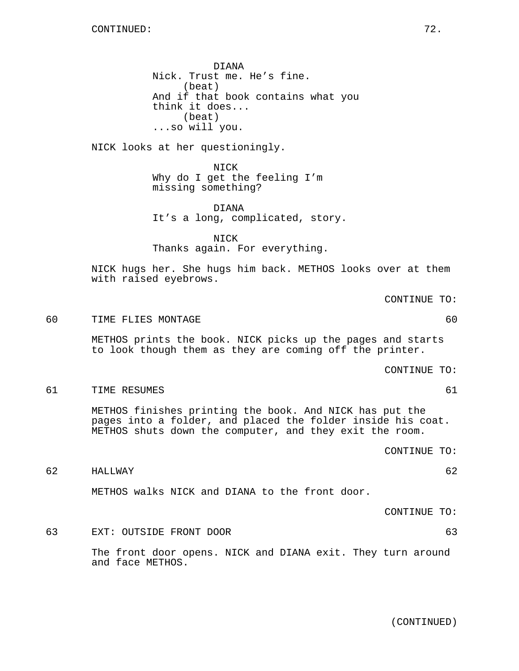DIANA Nick. Trust me. He's fine. (beat) And if that book contains what you think it does... (beat) ...so will you.

NICK looks at her questioningly.

NICK Why do I get the feeling I'm missing something?

DIANA It's a long, complicated, story.

NICK Thanks again. For everything.

NICK hugs her. She hugs him back. METHOS looks over at them with raised eyebrows.

CONTINUE TO:

60 TIME FLIES MONTAGE 60

METHOS prints the book. NICK picks up the pages and starts to look though them as they are coming off the printer.

CONTINUE TO:

61 TIME RESUMES 61

METHOS finishes printing the book. And NICK has put the pages into a folder, and placed the folder inside his coat. METHOS shuts down the computer, and they exit the room.

CONTINUE TO:

62 HALLWAY 62

METHOS walks NICK and DIANA to the front door.

CONTINUE TO:

63 EXT: OUTSIDE FRONT DOOR 63 The front door opens. NICK and DIANA exit. They turn around and face METHOS.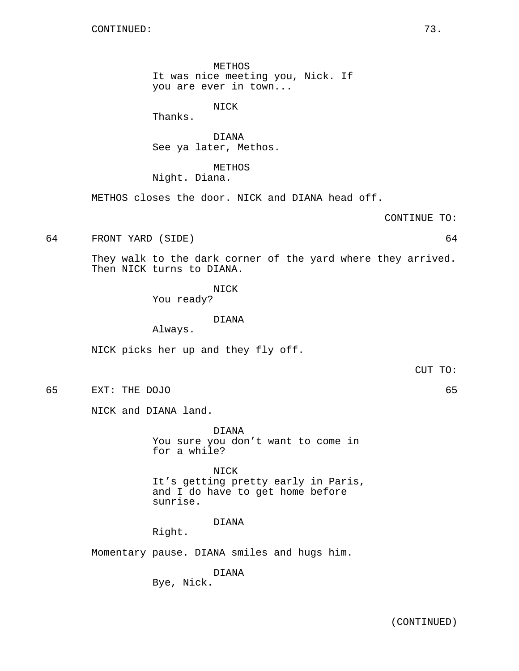METHOS It was nice meeting you, Nick. If you are ever in town...

NICK

Thanks.

DIANA See ya later, Methos.

METHOS Night. Diana.

METHOS closes the door. NICK and DIANA head off.

CONTINUE TO:

64 FRONT YARD (SIDE) 64

They walk to the dark corner of the yard where they arrived. Then NICK turns to DIANA.

NICK

You ready?

DIANA

Always.

NICK picks her up and they fly off.

CUT TO:

65 EXT: THE DOJO 65

NICK and DIANA land.

DIANA You sure you don't want to come in for a while?

NICK It's getting pretty early in Paris, and I do have to get home before sunrise.

DIANA

Right.

Momentary pause. DIANA smiles and hugs him.

DIANA Bye, Nick.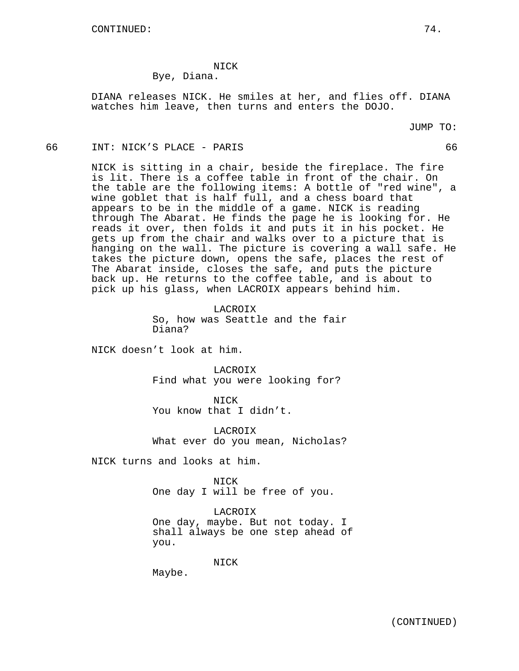NICK

Bye, Diana.

DIANA releases NICK. He smiles at her, and flies off. DIANA watches him leave, then turns and enters the DOJO.

JUMP TO:

66 INT: NICK'S PLACE - PARIS 66

NICK is sitting in a chair, beside the fireplace. The fire is lit. There is a coffee table in front of the chair. On the table are the following items: A bottle of "red wine", a wine goblet that is half full, and a chess board that appears to be in the middle of a game. NICK is reading through The Abarat. He finds the page he is looking for. He reads it over, then folds it and puts it in his pocket. He gets up from the chair and walks over to a picture that is hanging on the wall. The picture is covering a wall safe. He takes the picture down, opens the safe, places the rest of The Abarat inside, closes the safe, and puts the picture back up. He returns to the coffee table, and is about to pick up his glass, when LACROIX appears behind him.

> LACROIX So, how was Seattle and the fair Diana?

NICK doesn't look at him.

LACROIX Find what you were looking for?

NICK You know that I didn't.

LACROIX What ever do you mean, Nicholas?

NICK turns and looks at him.

NICK One day I will be free of you.

LACROIX One day, maybe. But not today. I shall always be one step ahead of you.

NICK

Maybe.